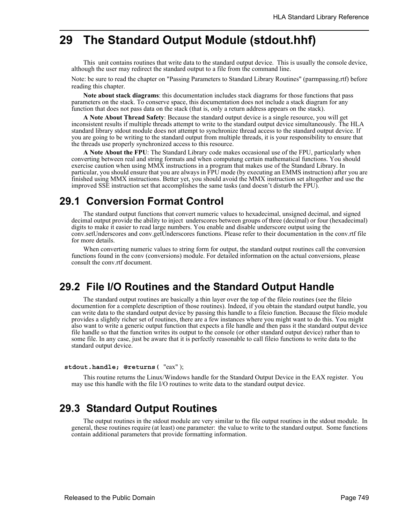# **29 The Standard Output Module (stdout.hhf)**

This unit contains routines that write data to the standard output device. This is usually the console device, although the user may redirect the standard output to a file from the command line.

Note: be sure to read the chapter on "Passing Parameters to Standard Library Routines" (parmpassing.rtf) before reading this chapter.

**Note about stack diagrams**: this documentation includes stack diagrams for those functions that pass parameters on the stack. To conserve space, this documentation does not include a stack diagram for any function that does not pass data on the stack (that is, only a return address appears on the stack).

**A Note About Thread Safety**: Because the standard output device is a single resource, you will get inconsistent results if multiple threads attempt to write to the standard output device simultaneously. The HLA standard library stdout module does not attempt to synchronize thread access to the standard output device. If you are going to be writing to the standard output from multiple threads, it is your responsibility to ensure that the threads use properly synchronized access to this resource.

**A Note About the FPU**: The Standard Library code makes occasional use of the FPU, particularly when converting between real and string formats and when computung certain mathematical functions. You should exercise caution when using MMX instructions in a program that makes use of the Standard Library. In particular, you should ensure that you are always in FPU mode (by executing an EMMS instruction) after you are finished using MMX instructions. Better yet, you should avoid the MMX instruction set altogether and use the improved SSE instruction set that accomplishes the same tasks (and doesn't disturb the FPU).

# **29.1 Conversion Format Control**

The standard output functions that convert numeric values to hexadecimal, unsigned decimal, and signed decimal output provide the ability to inject underscores between groups of three (decimal) or four (hexadecimal) digits to make it easier to read large numbers. You enable and disable underscore output using the conv.setUnderscores and conv.getUnderscores functions. Please refer to their documentation in the conv.rtf file for more details.

When converting numeric values to string form for output, the standard output routines call the conversion functions found in the conv (conversions) module. For detailed information on the actual conversions, please consult the conv.rtf document.

# **29.2 File I/O Routines and the Standard Output Handle**

The standard output routines are basically a thin layer over the top of the fileio routines (see the fileio documention for a complete description of those routines). Indeed, if you obtain the standard output handle, you can write data to the standard output device by passing this handle to a fileio function. Because the fileio module provides a slightly richer set of routines, there are a few instances where you might want to do this. You might also want to write a generic output function that expects a file handle and then pass it the standard output device file handle so that the function writes its output to the console (or other standard output device) rather than to some file. In any case, just be aware that it is perfectly reasonable to call fileio functions to write data to the standard output device.

#### **stdout.handle; @returns(** "eax" );

This routine returns the Linux/Windows handle for the Standard Output Device in the EAX register. You may use this handle with the file I/O routines to write data to the standard output device.

# **29.3 Standard Output Routines**

The output routines in the stdout module are very similar to the file output routines in the stdout module. In general, these routines require (at least) one parameter: the value to write to the standard output. Some functions contain additional parameters that provide formatting information.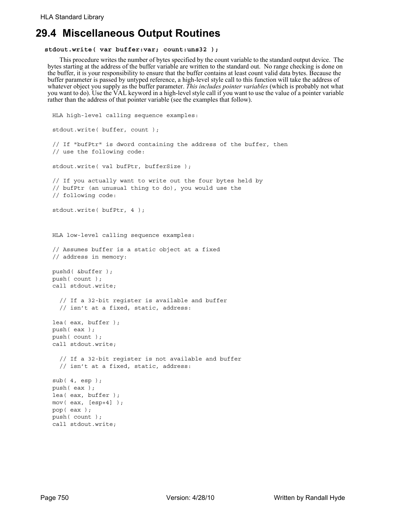# **29.4 Miscellaneous Output Routines**

#### **stdout.write( var buffer:var; count:uns32 );**

This procedure writes the number of bytes specified by the count variable to the standard output device. The bytes starting at the address of the buffer variable are written to the standard out. No range checking is done on the buffer, it is your responsibility to ensure that the buffer contains at least count valid data bytes. Because the buffer parameter is passed by untyped reference, a high-level style call to this function will take the address of whatever object you supply as the buffer parameter. *This includes pointer variables* (which is probably not what you want to do). Use the VAL keyword in a high-level style call if you want to use the value of a pointer variable rather than the address of that pointer variable (see the examples that follow).

```
HLA high-level calling sequence examples:
stdout.write( buffer, count );
// If "bufPtr" is dword containing the address of the buffer, then
// use the following code:
stdout.write( val bufPtr, bufferSize );
// If you actually want to write out the four bytes held by
// bufPtr (an unusual thing to do), you would use the
// following code:
stdout.write( bufPtr, 4 );
HLA low-level calling sequence examples:
// Assumes buffer is a static object at a fixed
// address in memory:
pushd( &buffer );
push( count );
call stdout.write;
  // If a 32-bit register is available and buffer
  // isn't at a fixed, static, address:
lea( eax, buffer );
push( eax );
push( count );
call stdout.write;
  // If a 32-bit register is not available and buffer
  // isn't at a fixed, static, address:
sub( 4, esp );
push( eax );
lea( eax, buffer );
mov( eax, [esp+4] );
pop( eax );
push( count );
call stdout.write;
```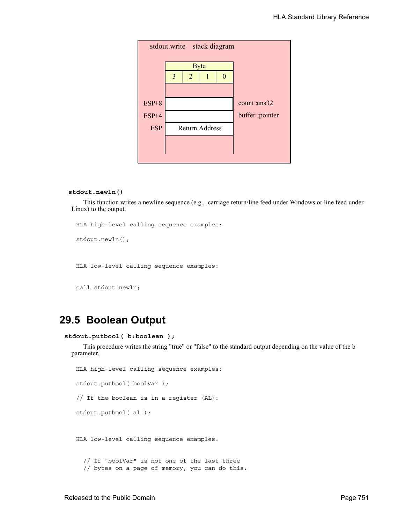|            | stdout.write stack diagram |                       |             |   |                 |  |  |  |  |  |
|------------|----------------------------|-----------------------|-------------|---|-----------------|--|--|--|--|--|
|            |                            |                       |             |   |                 |  |  |  |  |  |
|            | 3                          | $\overline{2}$        | <b>Byte</b> | 0 |                 |  |  |  |  |  |
|            |                            |                       |             |   |                 |  |  |  |  |  |
|            |                            |                       |             |   |                 |  |  |  |  |  |
| $ESP+8$    |                            |                       |             |   | count uns32     |  |  |  |  |  |
| $ESP+4$    |                            |                       |             |   | buffer :pointer |  |  |  |  |  |
| <b>ESP</b> |                            | <b>Return Address</b> |             |   |                 |  |  |  |  |  |
|            |                            |                       |             |   |                 |  |  |  |  |  |
|            |                            |                       |             |   |                 |  |  |  |  |  |

#### **stdout.newln()**

This function writes a newline sequence (e.g., carriage return/line feed under Windows or line feed under Linux) to the output.

```
HLA high-level calling sequence examples:
stdout.newln();
```
HLA low-level calling sequence examples:

call stdout.newln;

# **29.5 Boolean Output**

```
stdout.putbool( b:boolean );
```
This procedure writes the string "true" or "false" to the standard output depending on the value of the b parameter.

```
HLA high-level calling sequence examples:
stdout.putbool( boolVar );
// If the boolean is in a register (AL):
stdout.putbool( al );
HLA low-level calling sequence examples:
  // If "boolVar" is not one of the last three
  // bytes on a page of memory, you can do this:
```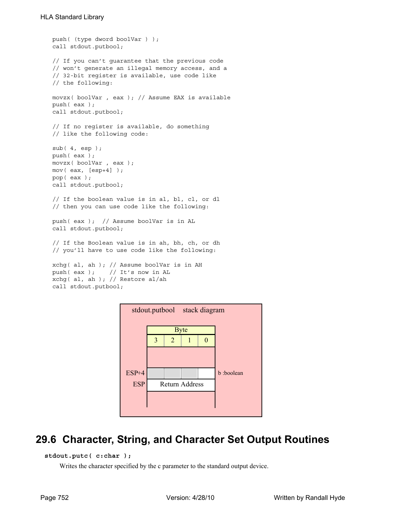```
push( (type dword boolVar ) );
call stdout.putbool;
// If you can't guarantee that the previous code
// won't generate an illegal memory access, and a
// 32-bit register is available, use code like
// the following:
movzx( boolVar , eax ); // Assume EAX is available
push( eax );
call stdout.putbool;
// If no register is available, do something
// like the following code:
sub(4, esp);push( eax );
movzx( boolVar , eax );
mov( eax, [esp+4] );
pop( eax );
call stdout.putbool;
// If the boolean value is in al, bl, cl, or dl
// then you can use code like the following:
push( eax ); // Assume boolVar is in AL
call stdout.putbool;
// If the Boolean value is in ah, bh, ch, or dh
// you'll have to use code like the following:
xchg( al, ah ); // Assume boolVar is in AH
push( eax ); // It's now in AL
xchg( al, ah ); // Restore al/ah
call stdout.putbool;
```


# **29.6 Character, String, and Character Set Output Routines**

```
 stdout.putc( c:char );
```
Writes the character specified by the c parameter to the standard output device.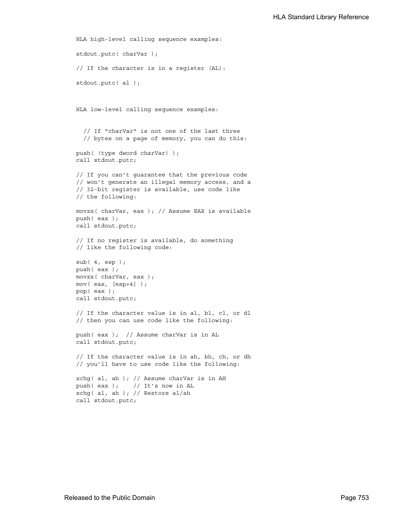```
HLA high-level calling sequence examples:
stdout.putc( charVar );
// If the character is in a register (AL):
stdout.putc( al );
HLA low-level calling sequence examples:
  // If "charVar" is not one of the last three
  // bytes on a page of memory, you can do this:
push( (type dword charVar) );
call stdout.putc;
// If you can't guarantee that the previous code
// won't generate an illegal memory access, and a
// 32-bit register is available, use code like
// the following:
movzx( charVar, eax ); // Assume EAX is available
push( eax );
call stdout.putc;
// If no register is available, do something
// like the following code:
sub( 4, esp );
push( eax );
movzx( charVar, eax );
mov( eax, [esp+4] );
pop( eax );
call stdout.putc;
// If the character value is in al, bl, cl, or dl
// then you can use code like the following:
push( eax ); // Assume charVar is in AL
call stdout.putc;
// If the character value is in ah, bh, ch, or dh
// you'll have to use code like the following:
xchg( al, ah ); // Assume charVar is in AH
push( eax ); // It's now in AL
xchg( al, ah ); // Restore al/ah
call stdout.putc;
```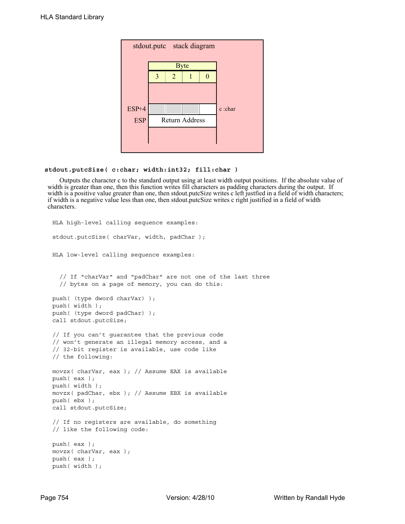| stdout.putc stack diagram |   |                |                       |  |         |  |  |
|---------------------------|---|----------------|-----------------------|--|---------|--|--|
|                           |   |                | <b>Byte</b>           |  |         |  |  |
|                           | 3 | $\overline{2}$ |                       |  |         |  |  |
|                           |   |                |                       |  |         |  |  |
| ESP+4                     |   |                |                       |  | c :char |  |  |
| <b>ESP</b>                |   |                | <b>Return Address</b> |  |         |  |  |
|                           |   |                |                       |  |         |  |  |
|                           |   |                |                       |  |         |  |  |

### **stdout.putcSize( c:char; width:int32; fill:char )**

Outputs the character c to the standard output using at least width output positions. If the absolute value of width is greater than one, then this function writes fill characters as padding characters during the output. If width is a positive value greater than one, then stdout. putcSize writes c left justfied in a field of width characters; if width is a negative value less than one, then stdout.putcSize writes c right justified in a field of width characters.

```
HLA high-level calling sequence examples:
stdout.putcSize( charVar, width, padChar );
HLA low-level calling sequence examples:
  // If "charVar" and "padChar" are not one of the last three
  // bytes on a page of memory, you can do this:
push( (type dword charVar) );
push( width );
push( (type dword padChar) );
call stdout.putcSize;
// If you can't guarantee that the previous code
// won't generate an illegal memory access, and a
// 32-bit register is available, use code like
// the following:
movzx( charVar, eax ); // Assume EAX is available
push( eax );
push( width );
movzx( padChar, ebx ); // Assume EBX is available
push( ebx );
call stdout.putcSize;
// If no registers are available, do something
// like the following code:
push( eax );
movzx( charVar, eax );
push( eax );
push( width );
```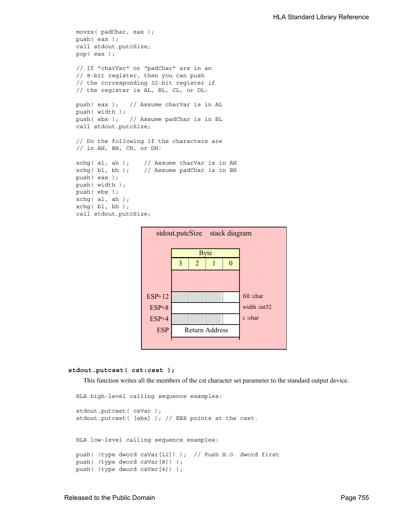```
movzx( padChar, eax );
push( eax );
call stdout.putcSize;
pop( eax );
// If "charVar" or "padChar" are in an
// 8-bit register, then you can push
// the corresponding 32-bit register if
// the register is AL, BL, CL, or DL:
push( eax ); // Assume charVar is in AL
push( width );
push( ebx ); // Assume padChar is in BL
call stdout.putcSize;
// Do the following if the characters are
// in AH, BH, CH, or DH:
xchg( al, ah ); // Assume charVar is in AH
xchg( bl, bh ); // Assume padChar is in BH
push( eax ); 
push( width );
push( ebx );
xchg( al, ah );
xchg( bl, bh );
call stdout.putcSize;
```


#### **stdout.putcset( cst:cset );**

This function writes all the members of the cst character set parameter to the standard output device.

```
HLA high-level calling sequence examples:
stdout.putcset( csVar );
stdout.putcset( [ebx] ); // EBX points at the cset.
HLA low-level calling sequence examples:
push( (type dword csVar[12]) ); // Push H.O. dword first
push( (type dword csVar[8]) );
push( (type dword csVar[4]) );
```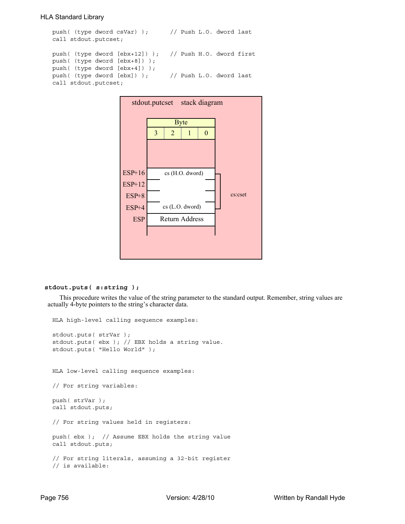```
push( (type dword csVar) ); // Push L.O. dword last
call stdout.putcset;
push( (type dword [ebx+12]) ); // Push H.O. dword first
push( (type dword [ebx+8]) );
push( (type dword [ebx+4]) );
push( (type dword [ebx]) ); // Push L.O. dword last
call stdout.putcset;
```


## **stdout.puts( s:string );**

This procedure writes the value of the string parameter to the standard output. Remember, string values are actually 4-byte pointers to the string's character data.

```
HLA high-level calling sequence examples:
stdout.puts( strVar );
stdout.puts( ebx ); // EBX holds a string value.
stdout.puts( "Hello World" );
HLA low-level calling sequence examples:
// For string variables:
push( strVar );
call stdout.puts;
// For string values held in registers:
push( ebx ); // Assume EBX holds the string value
call stdout.puts;
// For string literals, assuming a 32-bit register
// is available:
```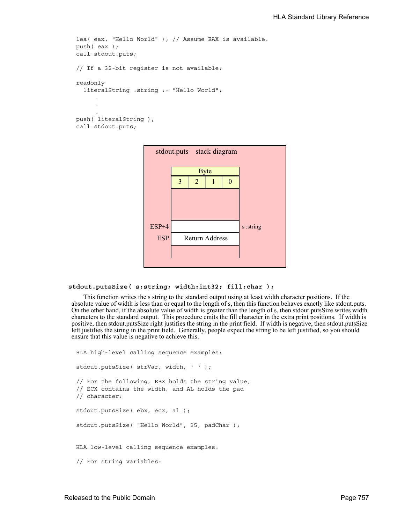```
lea( eax, "Hello World" ); // Assume EAX is available.
push( eax );
call stdout.puts;
// If a 32-bit register is not available:
readonly
  literalString :string := "Hello World";
     .
     .
     .
push( literalString );
call stdout.puts;
```

| stdout.puts stack diagram |   |                |                       |  |           |  |  |
|---------------------------|---|----------------|-----------------------|--|-----------|--|--|
|                           |   | <b>Byte</b>    |                       |  |           |  |  |
|                           | 3 | $\overline{2}$ |                       |  |           |  |  |
|                           |   |                |                       |  |           |  |  |
|                           |   |                |                       |  |           |  |  |
|                           |   |                |                       |  |           |  |  |
| ESP+4                     |   |                |                       |  | s :string |  |  |
| <b>ESP</b>                |   |                | <b>Return Address</b> |  |           |  |  |
|                           |   |                |                       |  |           |  |  |
|                           |   |                |                       |  |           |  |  |

```
 stdout.putsSize( s:string; width:int32; fill:char );
```
This function writes the s string to the standard output using at least width character positions. If the absolute value of width is less than or equal to the length of s, then this function behaves exactly like stdout.puts. On the other hand, if the absolute value of width is greater than the length of s, then stdout.putsSize writes width characters to the standard output. This procedure emits the fill character in the extra print positions. If width is positive, then stdout.putsSize right justifies the string in the print field. If width is negative, then stdout.putsSize left justifies the string in the print field. Generally, people expect the string to be left justified, so you should ensure that this value is negative to achieve this.

```
HLA high-level calling sequence examples:
stdout.putsSize( strVar, width, ' ' );
// For the following, EBX holds the string value,
// ECX contains the width, and AL holds the pad
// character:
stdout.putsSize( ebx, ecx, al );
stdout.putsSize( "Hello World", 25, padChar );
HLA low-level calling sequence examples:
// For string variables:
```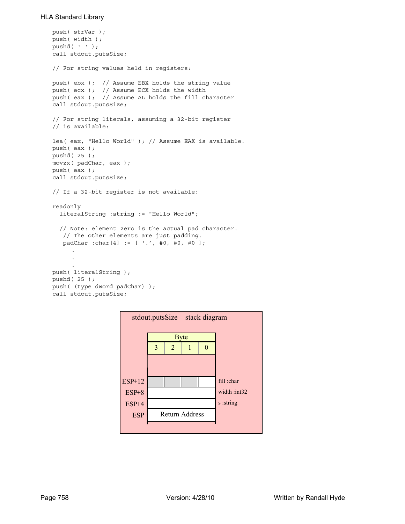```
push( strVar );
push( width );
pushd(' ' );
call stdout.putsSize;
// For string values held in registers:
push( ebx ); // Assume EBX holds the string value
push( ecx ); // Assume ECX holds the width
push( eax ); // Assume AL holds the fill character
call stdout.putsSize;
// For string literals, assuming a 32-bit register
// is available:
lea( eax, "Hello World" ); // Assume EAX is available.
push( eax );
pushd( 25 );
movzx( padChar, eax );
push( eax );
call stdout.putsSize;
// If a 32-bit register is not available:
readonly
  literalString :string := "Hello World";
  // Note: element zero is the actual pad character.
    // The other elements are just padding.
    padChar :char[4] := [ '.', #0, #0, #0 ];
     .
     .
     .
push( literalString );
pushd( 25 );
push( (type dword padChar) );
call stdout.putsSize;
```
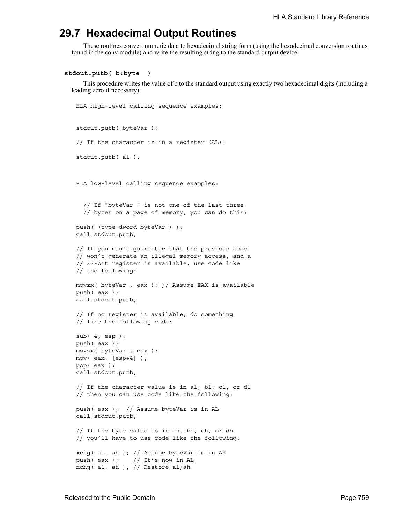# **29.7 Hexadecimal Output Routines**

HLA high-level calling sequence examples:

These routines convert numeric data to hexadecimal string form (using the hexadecimal conversion routines found in the conv module) and write the resulting string to the standard output device.

#### **stdout.putb( b:byte )**

This procedure writes the value of b to the standard output using exactly two hexadecimal digits (including a leading zero if necessary).

```
stdout.putb( byteVar );
// If the character is in a register (AL):
stdout.putb( al );
HLA low-level calling sequence examples:
  // If "byteVar " is not one of the last three
  // bytes on a page of memory, you can do this:
push( (type dword byteVar ) );
call stdout.putb;
// If you can't guarantee that the previous code
// won't generate an illegal memory access, and a
// 32-bit register is available, use code like
// the following:
movzx( byteVar , eax ); // Assume EAX is available
push( eax );
call stdout.putb;
// If no register is available, do something
// like the following code:
sub(4, esp);push( eax );
movzx( byteVar , eax );
mov( eax, [esp+4] );
pop( eax );
call stdout.putb;
// If the character value is in al, bl, cl, or dl
// then you can use code like the following:
push( eax ); // Assume byteVar is in AL
call stdout.putb;
// If the byte value is in ah, bh, ch, or dh
// you'll have to use code like the following:
xchg( al, ah ); // Assume byteVar is in AH
push( eax ); // It's now in AL
xchg( al, ah ); // Restore al/ah
```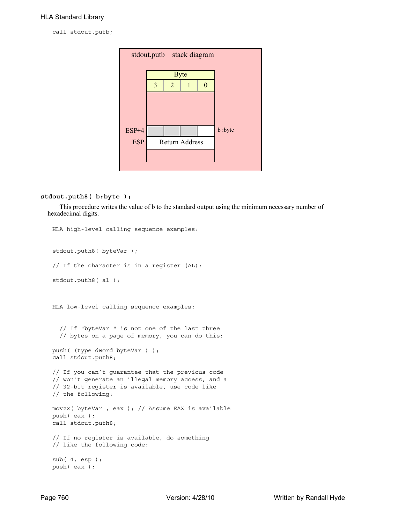call stdout.putb;

| stdout.putb stack diagram |   |                       |             |          |         |  |  |  |
|---------------------------|---|-----------------------|-------------|----------|---------|--|--|--|
|                           |   |                       | <b>Byte</b> |          |         |  |  |  |
|                           | 3 | $\overline{2}$        | 1           | $\Omega$ |         |  |  |  |
|                           |   |                       |             |          |         |  |  |  |
| ESP+4                     |   |                       |             |          | b :byte |  |  |  |
| <b>ESP</b>                |   | <b>Return Address</b> |             |          |         |  |  |  |
|                           |   |                       |             |          |         |  |  |  |

## **stdout.puth8( b:byte );**

This procedure writes the value of b to the standard output using the minimum necessary number of hexadecimal digits.

```
HLA high-level calling sequence examples:
stdout.puth8( byteVar );
// If the character is in a register (AL):
stdout.puth8( al );
HLA low-level calling sequence examples:
  // If "byteVar " is not one of the last three
  // bytes on a page of memory, you can do this:
push( (type dword byteVar ) );
call stdout.puth8;
// If you can't guarantee that the previous code
// won't generate an illegal memory access, and a
// 32-bit register is available, use code like
// the following:
movzx( byteVar , eax ); // Assume EAX is available
push( eax );
call stdout.puth8;
// If no register is available, do something
// like the following code:
sub( 4, esp );
push( eax );
```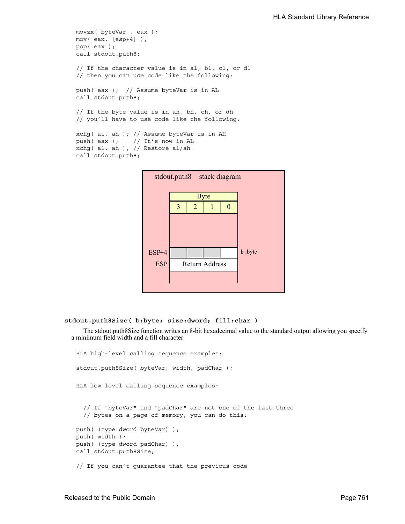```
movzx( byteVar , eax );
mov( eax, [esp+4] );
pop( eax );
call stdout.puth8;
// If the character value is in al, bl, cl, or dl
// then you can use code like the following:
push( eax ); // Assume byteVar is in AL
call stdout.puth8;
// If the byte value is in ah, bh, ch, or dh
// you'll have to use code like the following:
xchg( al, ah ); // Assume byteVar is in AH
push( eax ); // It's now in AL
xchg( al, ah ); // Restore al/ah
call stdout.puth8;
```


## **stdout.puth8Size( b:byte; size:dword; fill:char )**

The stdout.puth8Size function writes an 8-bit hexadecimal value to the standard output allowing you specify a minimum field width and a fill character.

```
HLA high-level calling sequence examples:
stdout.puth8Size( byteVar, width, padChar );
HLA low-level calling sequence examples:
  // If "byteVar" and "padChar" are not one of the last three
  // bytes on a page of memory, you can do this:
push( (type dword byteVar) );
push( width );
push( (type dword padChar) );
call stdout.puth8Size;
// If you can't guarantee that the previous code
```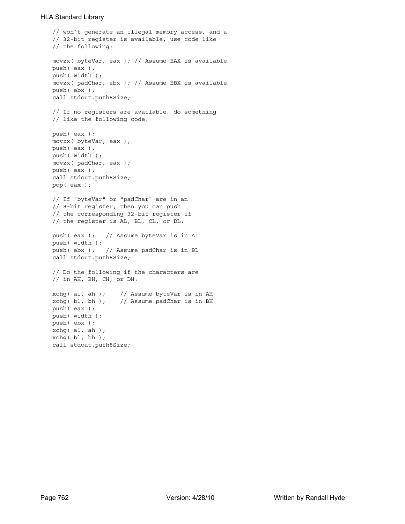```
// won't generate an illegal memory access, and a
// 32-bit register is available, use code like
// the following:
movzx( byteVar, eax ); // Assume EAX is available
push( eax );
push( width );
movzx( padChar, ebx ); // Assume EBX is available
push( ebx );
call stdout.puth8Size;
// If no registers are available, do something
// like the following code:
push( eax );
movzx( byteVar, eax );
push( eax );
push( width );
movzx( padChar, eax );
push( eax );
call stdout.puth8Size;
pop( eax );
// If "byteVar" or "padChar" are in an
// 8-bit register, then you can push
// the corresponding 32-bit register if
// the register is AL, BL, CL, or DL:
push( eax ); // Assume byteVar is in AL
push( width );
push( ebx ); // Assume padChar is in BL
call stdout.puth8Size;
// Do the following if the characters are
// in AH, BH, CH, or DH:
xchg( al, ah ); // Assume byteVar is in AH
xchg( bl, bh ); // Assume padChar is in BH
push( eax ); 
push( width );
push( ebx );
xchg( al, ah );
xchg( bl, bh );
call stdout.puth8Size;
```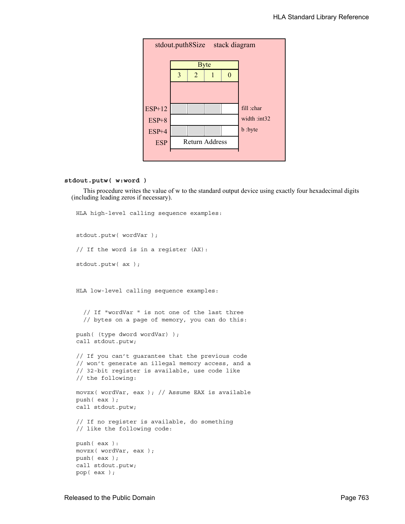

#### **stdout.putw( w:word )**

This procedure writes the value of w to the standard output device using exactly four hexadecimal digits (including leading zeros if necessary).

```
HLA high-level calling sequence examples:
stdout.putw( wordVar );
// If the word is in a register (AX):
stdout.putw( ax );
HLA low-level calling sequence examples:
  // If "wordVar " is not one of the last three
  // bytes on a page of memory, you can do this:
push( (type dword wordVar) );
call stdout.putw;
// If you can't guarantee that the previous code
// won't generate an illegal memory access, and a
// 32-bit register is available, use code like
// the following:
movzx( wordVar, eax ); // Assume EAX is available
push( eax );
call stdout.putw;
// If no register is available, do something
// like the following code:
push( eax ):
movzx( wordVar, eax );
push( eax );
call stdout.putw;
pop( eax );
```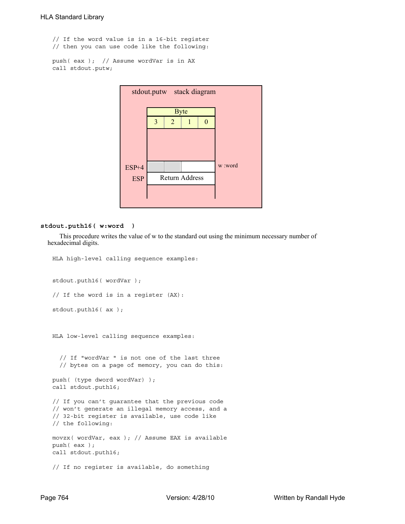// If the word value is in a 16-bit register // then you can use code like the following:

```
push( eax ); // Assume wordVar is in AX
call stdout.putw;
```


#### **stdout.puth16( w:word )**

This procedure writes the value of w to the standard out using the minimum necessary number of hexadecimal digits.

```
HLA high-level calling sequence examples:
stdout.puth16( wordVar );
// If the word is in a register (AX):
stdout.puth16( ax );
HLA low-level calling sequence examples:
  // If "wordVar " is not one of the last three
  // bytes on a page of memory, you can do this:
push( (type dword wordVar) );
call stdout.puth16;
// If you can't guarantee that the previous code
// won't generate an illegal memory access, and a
// 32-bit register is available, use code like
// the following:
movzx( wordVar, eax ); // Assume EAX is available
push( eax );
call stdout.puth16;
// If no register is available, do something
```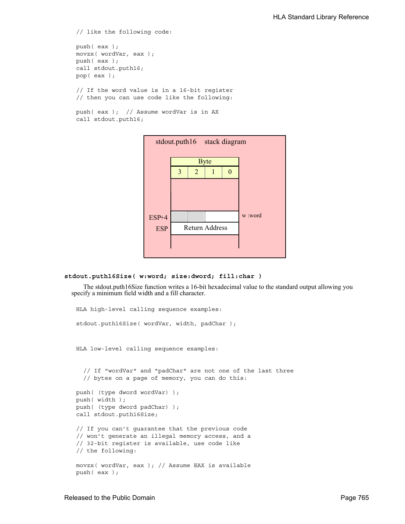```
// like the following code:
push( eax );
movzx( wordVar, eax );
push( eax );
call stdout.puth16;
pop( eax );
// If the word value is in a 16-bit register
// then you can use code like the following:
```

```
push( eax ); // Assume wordVar is in AX
call stdout.puth16;
```


```
stdout.puth16Size( w:word; size:dword; fill:char )
```
The stdout.puth16Size function writes a 16-bit hexadecimal value to the standard output allowing you specify a minimum field width and a fill character.

```
HLA high-level calling sequence examples:
stdout.puth16Size( wordVar, width, padChar );
HLA low-level calling sequence examples:
  // If "wordVar" and "padChar" are not one of the last three
  // bytes on a page of memory, you can do this:
push( (type dword wordVar) );
push( width );
push( (type dword padChar) );
call stdout.puth16Size;
// If you can't guarantee that the previous code
// won't generate an illegal memory access, and a
// 32-bit register is available, use code like
// the following:
movzx( wordVar, eax ); // Assume EAX is available
push( eax );
```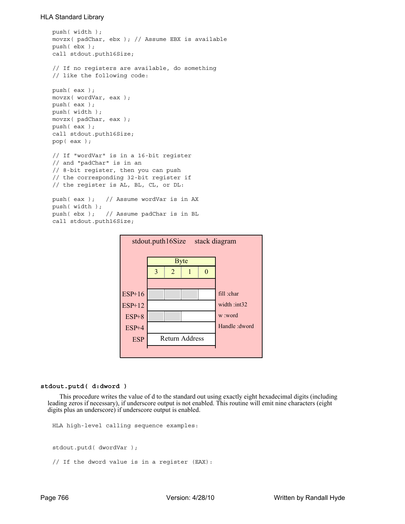```
push( width );
movzx( padChar, ebx ); // Assume EBX is available
push( ebx );
call stdout.puth16Size;
// If no registers are available, do something
// like the following code:
push( eax );
movzx( wordVar, eax );
push( eax );
push( width );
movzx( padChar, eax );
push( eax );
call stdout.puth16Size;
pop( eax );
// If "wordVar" is in a 16-bit register
// and "padChar" is in an
// 8-bit register, then you can push
// the corresponding 32-bit register if
// the register is AL, BL, CL, or DL:
push( eax ); // Assume wordVar is in AX
push( width );
push( ebx ); // Assume padChar is in BL
call stdout.puth16Size;
```


#### **stdout.putd( d:dword )**

This procedure writes the value of d to the standard out using exactly eight hexadecimal digits (including leading zeros if necessary), if underscore output is not enabled. This routine will emit nine characters (eight digits plus an underscore) if underscore output is enabled.

```
HLA high-level calling sequence examples:
stdout.putd( dwordVar );
// If the dword value is in a register (EAX):
```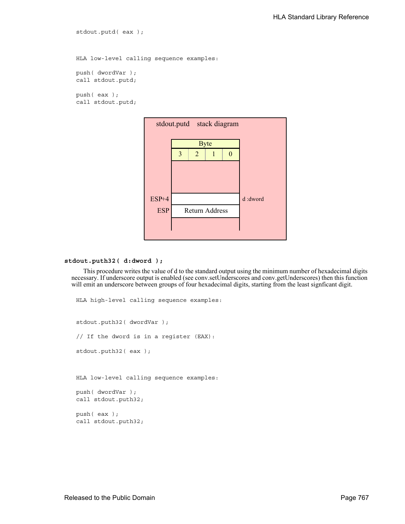HLA low-level calling sequence examples: push( dwordVar ); call stdout.putd; push( eax ); call stdout.putd;

stdout.putd( eax );



## **stdout.puth32( d:dword );**

This procedure writes the value of d to the standard output using the minimum number of hexadecimal digits necessary. If underscore output is enabled (see conv.setUnderscores and conv.getUnderscores) then this function will emit an underscore between groups of four hexadecimal digits, starting from the least signficant digit.

```
HLA high-level calling sequence examples:
stdout.puth32( dwordVar );
// If the dword is in a register (EAX):
stdout.puth32( eax );
HLA low-level calling sequence examples:
push( dwordVar );
call stdout.puth32;
push( eax );
call stdout.puth32;
```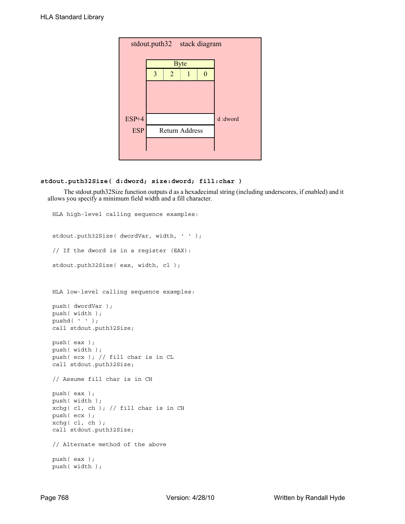| stdout.puth32 stack diagram |   |                |                       |   |         |  |  |  |
|-----------------------------|---|----------------|-----------------------|---|---------|--|--|--|
|                             |   |                | <b>Byte</b>           |   |         |  |  |  |
|                             | 3 | $\overline{2}$ | 1                     | 0 |         |  |  |  |
|                             |   |                |                       |   |         |  |  |  |
|                             |   |                |                       |   |         |  |  |  |
| ESP+4                       |   |                |                       |   | d:dword |  |  |  |
| <b>ESP</b>                  |   |                | <b>Return Address</b> |   |         |  |  |  |
|                             |   |                |                       |   |         |  |  |  |
|                             |   |                |                       |   |         |  |  |  |

# **stdout.puth32Size( d:dword; size:dword; fill:char )**

 The stdout.puth32Size function outputs d as a hexadecimal string (including underscores, if enabled) and it allows you specify a minimum field width and a fill character.

```
HLA high-level calling sequence examples:
stdout.puth32Size( dwordVar, width, ' ' );
// If the dword is in a register (EAX):
stdout.puth32Size( eax, width, cl );
HLA low-level calling sequence examples:
push( dwordVar );
push( width );
pushd( ' ' );call stdout.puth32Size;
push( eax );
push( width );
push( ecx ); // fill char is in CL
call stdout.puth32Size;
// Assume fill char is in CH
push( eax );
push( width );
xchg( cl, ch ); // fill char is in CH
push( ecx ); 
xchg(|c1, ch|);call stdout.puth32Size;
// Alternate method of the above
push( eax );
push( width );
```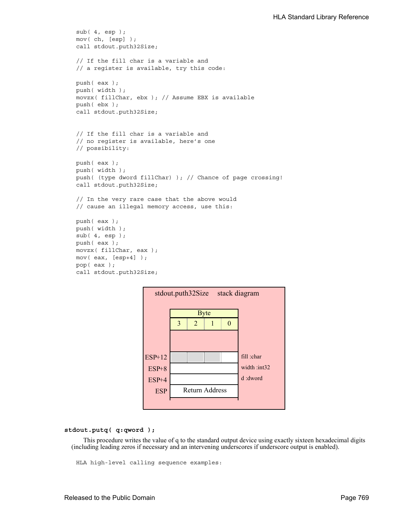```
sub( 4, esp );
mov( ch, [esp] );
call stdout.puth32Size;
// If the fill char is a variable and
// a register is available, try this code:
push( eax );
push( width );
movzx( fillChar, ebx ); // Assume EBX is available
push( ebx );
call stdout.puth32Size;
// If the fill char is a variable and
// no register is available, here's one
// possibility:
push( eax );
push( width );
push( (type dword fillChar) ); // Chance of page crossing!
call stdout.puth32Size;
// In the very rare case that the above would
// cause an illegal memory access, use this:
push( eax );
push( width );
sub( 4, esp );
push( eax );
movzx( fillChar, eax );
mov( eax, [esp+4] );
pop( eax );
call stdout.puth32Size;
```

| stack diagram<br>stdout.puth32Size |   |   |                       |  |                |  |  |
|------------------------------------|---|---|-----------------------|--|----------------|--|--|
|                                    |   |   | <b>Byte</b>           |  |                |  |  |
|                                    | 3 | 2 |                       |  |                |  |  |
|                                    |   |   |                       |  |                |  |  |
|                                    |   |   |                       |  |                |  |  |
| $ESP+12$                           |   |   |                       |  | fill :char     |  |  |
| $ESP+8$                            |   |   |                       |  | width: $int32$ |  |  |
| $ESP+4$                            |   |   |                       |  | d :dword       |  |  |
| <b>ESP</b>                         |   |   | <b>Return Address</b> |  |                |  |  |
|                                    |   |   |                       |  |                |  |  |

### **stdout.putq( q:qword );**

This procedure writes the value of q to the standard output device using exactly sixteen hexadecimal digits (including leading zeros if necessary and an intervening underscores if underscore output is enabled).

HLA high-level calling sequence examples: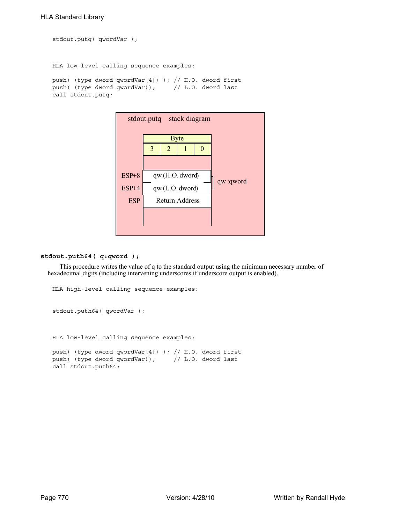```
stdout.putq( qwordVar );
```
HLA low-level calling sequence examples:

```
push( (type dword qwordVar[4]) ); // H.O. dword first
push( (type dword qwordVar)); // L.O. dword last
call stdout.putq;
```


#### **stdout.puth64( q:qword );**

This procedure writes the value of q to the standard output using the minimum necessary number of hexadecimal digits (including intervening underscores if underscore output is enabled).

```
HLA high-level calling sequence examples:
stdout.puth64( qwordVar );
HLA low-level calling sequence examples:
push( (type dword qwordVar[4]) ); // H.O. dword first
push( (type dword qwordVar)); // L.O. dword last
call stdout.puth64;
```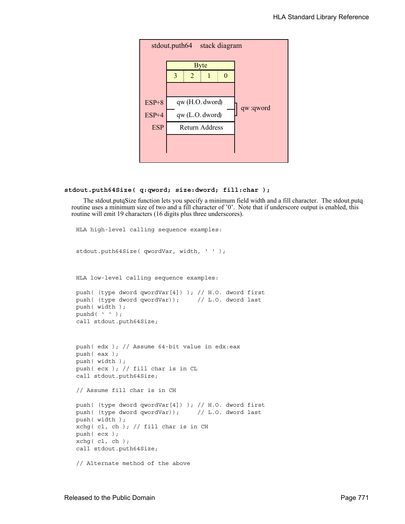

```
stdout.puth64Size( q:qword; size:dword; fill:char );
```
The stdout.putqSize function lets you specify a minimum field width and a fill character. The stdout.putq routine uses a minimum size of two and a fill character of '0'. Note that if underscore output is enabled, this routine will emit 19 characters (16 digits plus three underscores).

```
HLA high-level calling sequence examples:
stdout.puth64Size( qwordVar, width, ' ' );
HLA low-level calling sequence examples:
push( (type dword qwordVar[4]) ); // H.O. dword first
push( (type dword qwordVar)); // L.O. dword last
push( width );
pushd(' ' );
call stdout.puth64Size;
push( edx ); // Assume 64-bit value in edx:eax
push( eax );
push( width );
push( ecx ); // fill char is in CL
call stdout.puth64Size;
// Assume fill char is in CH
push( (type dword qwordVar[4]) ); // H.O. dword first
push( (type dword qwordVar)); // L.O. dword last
push( width );
xchg( cl, ch ); // fill char is in CH
push( ecx ); 
xchg( cl, ch );
call stdout.puth64Size;
// Alternate method of the above
```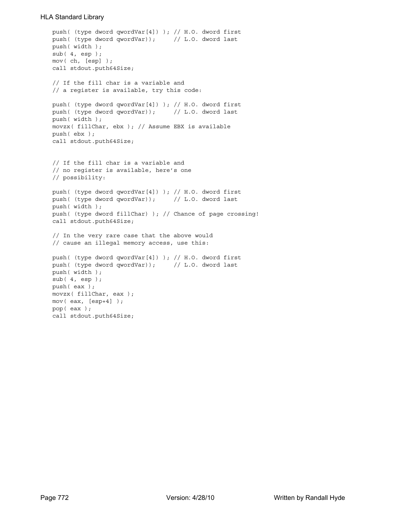```
push( (type dword qwordVar[4]) ); // H.O. dword first
push( (type dword qwordVar)); // L.O. dword last
push( width );
sub( 4, esp );
mov( ch, [esp] );
call stdout.puth64Size;
// If the fill char is a variable and
// a register is available, try this code:
push( (type dword qwordVar[4]) ); // H.O. dword first
push( (type dword qwordVar)); // L.O. dword last
push( width );
movzx( fillChar, ebx ); // Assume EBX is available
push( ebx );
call stdout.puth64Size;
// If the fill char is a variable and
// no register is available, here's one
// possibility:
push( (type dword qwordVar[4]) ); // H.O. dword first
push( (type dword qwordVar)); // L.O. dword last
push( width );
push( (type dword fillChar) ); // Chance of page crossing!
call stdout.puth64Size;
// In the very rare case that the above would
// cause an illegal memory access, use this:
push( (type dword qwordVar[4]) ); // H.O. dword first
push( (type dword qwordVar)); // L.O. dword last
push( width );
sub(4, esp);push( eax );
movzx( fillChar, eax );
mov( eax, [esp+4] );
pop( eax );
call stdout.puth64Size;
```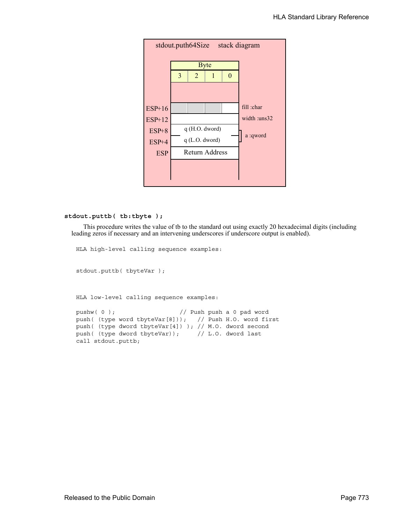

#### **stdout.puttb( tb:tbyte );**

This procedure writes the value of tb to the standard out using exactly 20 hexadecimal digits (including leading zeros if necessary and an intervening underscores if underscore output is enabled).

```
HLA high-level calling sequence examples:
stdout.puttb( tbyteVar );
HLA low-level calling sequence examples:
pushw( 0 ); // Push push a 0 pad word
push( (type word tbyteVar[8])); // Push H.O. word first
push( (type dword tbyteVar[4]) ); // M.O. dword second
push( (type dword tbyteVar)); // L.O. dword last
call stdout.puttb;
```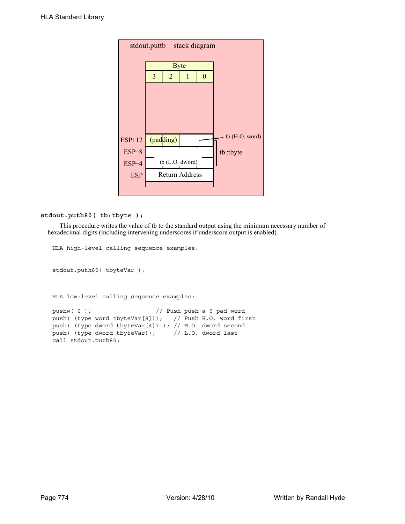| stdout.puttb stack diagram |   |                |                 |          |                |  |  |  |  |
|----------------------------|---|----------------|-----------------|----------|----------------|--|--|--|--|
|                            |   |                | <b>Byte</b>     |          |                |  |  |  |  |
|                            | 3 | $\overline{2}$ | 1               | $\theta$ |                |  |  |  |  |
|                            |   |                |                 |          |                |  |  |  |  |
|                            |   |                |                 |          |                |  |  |  |  |
|                            |   |                |                 |          |                |  |  |  |  |
|                            |   |                |                 |          |                |  |  |  |  |
| ESP+12                     |   | (padding)      |                 |          | tb (H.O. word) |  |  |  |  |
| $ESP+8$                    |   |                |                 |          | tb:tbyte       |  |  |  |  |
| ESP+4                      |   |                | tb (L.O. dword) |          |                |  |  |  |  |
| <b>ESP</b>                 |   |                | Return Address  |          |                |  |  |  |  |
|                            |   |                |                 |          |                |  |  |  |  |

# **stdout.puth80( tb:tbyte );**

This procedure writes the value of tb to the standard output using the minimum necessary number of hexadecimal digits (including intervening underscores if underscore output is enabled).

```
HLA high-level calling sequence examples:
stdout.puth80( tbyteVar );
HLA low-level calling sequence examples:
pushw(0); \frac{1}{2} // Push push a 0 pad word
push( (type word tbyteVar[8])); // Push H.O. word first
push( (type dword tbyteVar[4]) ); // M.O. dword second
push( (type dword tbyteVar)); // L.O. dword last
call stdout.puth80;
```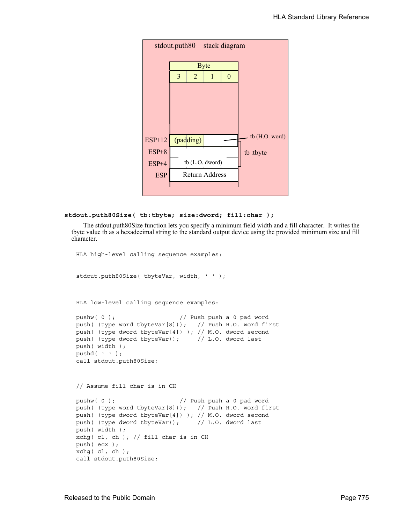|            | stdout.puth80 stack diagram |           |                 |          |                |  |  |  |
|------------|-----------------------------|-----------|-----------------|----------|----------------|--|--|--|
|            |                             |           | <b>Byte</b>     |          |                |  |  |  |
|            | 3                           | 2         | 1               | $\theta$ |                |  |  |  |
|            |                             |           |                 |          |                |  |  |  |
|            |                             |           |                 |          |                |  |  |  |
|            |                             |           |                 |          |                |  |  |  |
|            |                             |           |                 |          |                |  |  |  |
| ESP+12     |                             | (padding) |                 |          | tb (H.O. word) |  |  |  |
| $ESP+8$    |                             |           |                 |          | tb:tbyte       |  |  |  |
| ESP+4      |                             |           | tb (L.O. dword) |          |                |  |  |  |
| <b>ESP</b> |                             |           | Return Address  |          |                |  |  |  |
|            |                             |           |                 |          |                |  |  |  |

```
stdout.puth80Size( tb:tbyte; size:dword; fill:char );
```
The stdout.puth80Size function lets you specify a minimum field width and a fill character. It writes the tbyte value tb as a hexadecimal string to the standard output device using the provided minimum size and fill character.

```
HLA high-level calling sequence examples:
stdout.puth80Size( tbyteVar, width, ' ' );
HLA low-level calling sequence examples:
pushw( 0 ); // Push push a 0 pad word
push( (type word tbyteVar[8])); // Push H.O. word first
push( (type dword tbyteVar[4]) ); // M.O. dword second
push( (type dword tbyteVar)); // L.O. dword last
push( width );
pushd(' ' );
call stdout.puth80Size;
// Assume fill char is in CH
pushw(0); \frac{1}{2} // Push push a 0 pad word
push( (type word tbyteVar[8])); // Push H.O. word first
push( (type dword tbyteVar[4]) ); // M.O. dword second
push( (type dword tbyteVar)); // L.O. dword last
push( width );
xchg( cl, ch ); // fill char is in CH
push( ecx ); 
xchg( cl, ch );
call stdout.puth80Size;
```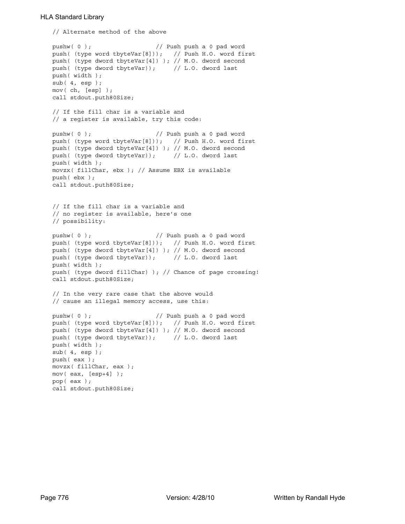```
// Alternate method of the above
pushw( 0 ); // Push push a 0 pad word
push( (type word tbyteVar[8])); // Push H.O. word first
push( (type dword tbyteVar[4]) ); // M.O. dword second
push( (type dword tbyteVar)); // L.O. dword last
push( width );
sub( 4, esp );
mov( ch, [esp] );
call stdout.puth80Size;
// If the fill char is a variable and
// a register is available, try this code:
pushw( 0 ); // Push push a 0 pad word
push( (type word tbyteVar[8])); // Push H.O. word first
push( (type dword tbyteVar[4]) ); // M.O. dword second
push( (type dword tbyteVar)); // L.O. dword last
push( width );
movzx( fillChar, ebx ); // Assume EBX is available
push( ebx );
call stdout.puth80Size;
// If the fill char is a variable and
// no register is available, here's one
// possibility:
pushw( 0 ); // Push push a 0 pad word
push( (type word tbyteVar[8])); // Push H.O. word first
push( (type dword tbyteVar[4]) ); // M.O. dword second
push( (type dword tbyteVar)); // L.O. dword last
push( width );
push( (type dword fillChar) ); // Chance of page crossing!
call stdout.puth80Size;
// In the very rare case that the above would
// cause an illegal memory access, use this:
pushw( 0 ); \frac{1}{2} // Push push a 0 pad word
push( (type word tbyteVar[8])); // Push H.O. word first
push( (type dword tbyteVar[4]) ); // M.O. dword second
push( (type dword tbyteVar)); // L.O. dword last
push( width );
sub( 4, esp );
push( eax );
movzx( fillChar, eax );
mov( eax, [esp+4] );
pop( eax );
call stdout.puth80Size;
```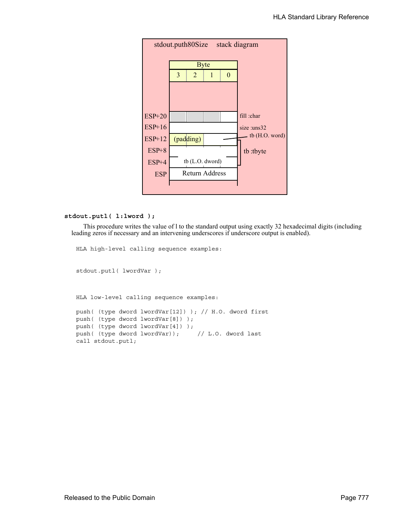| stdout.puth80Size<br>stack diagram |   |                |                       |   |                  |  |  |  |
|------------------------------------|---|----------------|-----------------------|---|------------------|--|--|--|
|                                    |   |                | <b>Byte</b>           |   |                  |  |  |  |
|                                    | 3 | $\overline{2}$ | 1                     | 0 |                  |  |  |  |
|                                    |   |                |                       |   |                  |  |  |  |
|                                    |   |                |                       |   |                  |  |  |  |
| $ESP+20$                           |   |                |                       |   | fill :char       |  |  |  |
| $ESP+16$                           |   |                |                       |   | size :uns32      |  |  |  |
| <b>ESP+12</b>                      |   | (padding)      |                       |   | th $(H.O. word)$ |  |  |  |
| $ESP+8$                            |   |                |                       |   | tb:tbyte         |  |  |  |
| $ESP+4$                            |   |                | tb (L.O. dword)       |   |                  |  |  |  |
| <b>ESP</b>                         |   |                | <b>Return Address</b> |   |                  |  |  |  |
|                                    |   |                |                       |   |                  |  |  |  |

#### **stdout.putl( l:lword );**

This procedure writes the value of l to the standard output using exactly 32 hexadecimal digits (including leading zeros if necessary and an intervening underscores if underscore output is enabled).

```
HLA high-level calling sequence examples:
stdout.putl( lwordVar );
HLA low-level calling sequence examples:
push( (type dword lwordVar[12]) ); // H.O. dword first
push( (type dword lwordVar[8]) ); 
push( (type dword lwordVar[4]) );
push( (type dword lwordVar)); // L.O. dword last
call stdout.putl;
```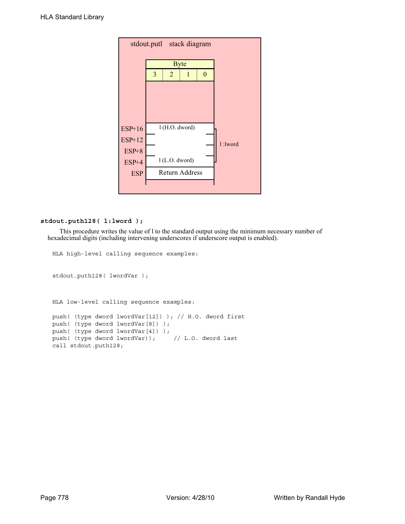|                  |   |                  | stdout.putl stack diagram |   |         |
|------------------|---|------------------|---------------------------|---|---------|
|                  |   | <b>Byte</b>      |                           |   |         |
|                  | 3 | $\overline{2}$   | 1                         | 0 |         |
|                  |   |                  |                           |   |         |
|                  |   |                  |                           |   |         |
|                  |   |                  |                           |   |         |
| $ESP+16$         |   | 1 (H.O. dword)   |                           |   |         |
| <b>ESP+12</b>    |   |                  |                           |   | 1:lword |
| $ESP+8$<br>ESP+4 |   | $1$ (L.O. dword) |                           |   |         |
| <b>ESP</b>       |   |                  | Return Address            |   |         |
|                  |   |                  |                           |   |         |

#### **stdout.puth128( l:lword );**

This procedure writes the value of l to the standard output using the minimum necessary number of hexadecimal digits (including intervening underscores if underscore output is enabled).

```
HLA high-level calling sequence examples:
stdout.puth128( lwordVar );
HLA low-level calling sequence examples:
push( (type dword lwordVar[12]) ); // H.O. dword first
push( (type dword lwordVar[8]) ); 
push( (type dword lwordVar[4]) );
push( (type dword lwordVar)); // L.O. dword last
call stdout.puth128;
```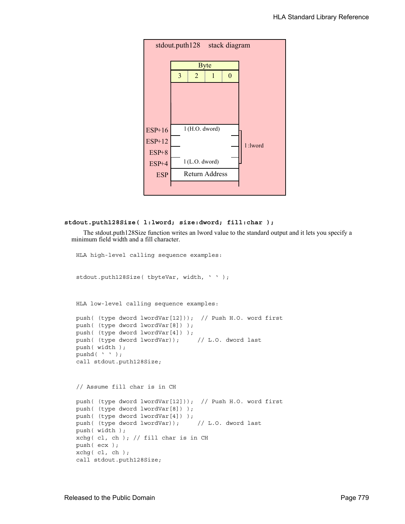

#### **stdout.puth128Size( l:lword; size:dword; fill:char );**

The stdout.puth128Size function writes an lword value to the standard output and it lets you specify a minimum field width and a fill character.

```
HLA high-level calling sequence examples:
```
stdout.puth128Size( tbyteVar, width, ' ' ); HLA low-level calling sequence examples: push( (type dword lwordVar[12])); // Push H.O. word first push( (type dword lwordVar[8]) ); push( (type dword lwordVar[4]) ); push( (type dword lwordVar)); // L.O. dword last push( width ); pushd $($ ' '  $)$ ; call stdout.puth128Size; // Assume fill char is in CH push( (type dword lwordVar[12])); // Push H.O. word first

```
push( (type dword lwordVar[8]) );
push( (type dword lwordVar[4]) );
push( (type dword lwordVar)); // L.O. dword last
push( width );
xchg( cl, ch ); // fill char is in CH
push( ecx ); 
xchg( cl, ch );
call stdout.puth128Size;
```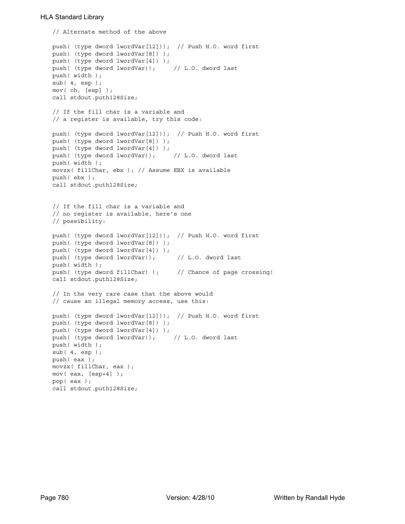```
// Alternate method of the above
push( (type dword lwordVar[12])); // Push H.O. word first
push( (type dword lwordVar[8]) );
push( (type dword lwordVar[4]) );
push( (type dword lwordVar)); // L.O. dword last
push( width );
sub( 4, esp );
mov( ch, [esp] );
call stdout.puth128Size;
// If the fill char is a variable and
// a register is available, try this code:
push( (type dword lwordVar[12])); // Push H.O. word first
push( (type dword lwordVar[8]) );
push( (type dword lwordVar[4]) );
push( (type dword lwordVar)); // L.O. dword last
push( width );
movzx( fillChar, ebx ); // Assume EBX is available
push( ebx );
call stdout.puth128Size;
// If the fill char is a variable and
// no register is available, here's one
// possibility:
push( (type dword lwordVar[12])); // Push H.O. word first
push( (type dword lwordVar[8]) );
push( (type dword lwordVar[4]) );
push( (type dword lwordVar)); // L.O. dword last
push( width );
push( (type dword fillChar) ); // Chance of page crossing!
call stdout.puth128Size;
// In the very rare case that the above would
// cause an illegal memory access, use this:
push( (type dword lwordVar[12])); // Push H.O. word first
push( (type dword lwordVar[8]) );
push( (type dword lwordVar[4]) );
push( (type dword lwordVar)); // L.O. dword last
push( width );
sub( 4, esp );
push( eax );
movzx( fillChar, eax );
mov( eax, [esp+4] );
pop( eax );
call stdout.puth128Size;
```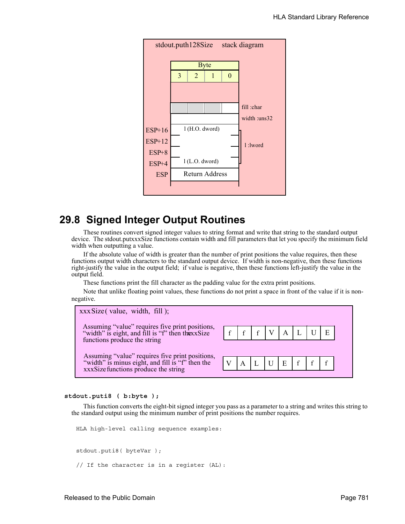

# **29.8 Signed Integer Output Routines**

These routines convert signed integer values to string format and write that string to the standard output device. The stdout.putxxxSize functions contain width and fill parameters that let you specify the minimum field width when outputting a value.

If the absolute value of width is greater than the number of print positions the value requires, then these functions output width characters to the standard output device. If width is non-negative, then these functions right-justify the value in the output field; if value is negative, then these functions left-justify the value in the output field.

These functions print the fill character as the padding value for the extra print positions.

Note that unlike floating point values, these functions do not print a space in front of the value if it is nonnegative.



#### **stdout.puti8 ( b:byte );**

This function converts the eight-bit signed integer you pass as a parameter to a string and writes this string to the standard output using the minimum number of print positions the number requires.

HLA high-level calling sequence examples:

stdout.puti8( byteVar ); // If the character is in a register (AL):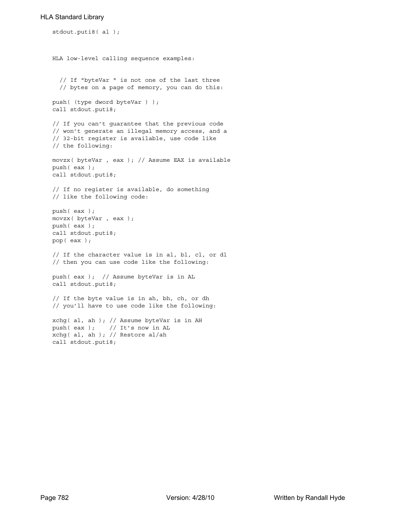```
stdout.puti8( al );
HLA low-level calling sequence examples:
  // If "byteVar " is not one of the last three
  // bytes on a page of memory, you can do this:
push( (type dword byteVar ) );
call stdout.puti8;
// If you can't guarantee that the previous code
// won't generate an illegal memory access, and a
// 32-bit register is available, use code like
// the following:
movzx( byteVar , eax ); // Assume EAX is available
push( eax );
call stdout.puti8;
// If no register is available, do something
// like the following code:
push( eax );
movzx( byteVar , eax );
push( eax );
call stdout.puti8;
pop( eax );
// If the character value is in al, bl, cl, or dl
// then you can use code like the following:
push( eax ); // Assume byteVar is in AL
call stdout.puti8;
// If the byte value is in ah, bh, ch, or dh
// you'll have to use code like the following:
xchg( al, ah ); // Assume byteVar is in AH
push( eax ); // It's now in AL
xchg( al, ah ); // Restore al/ah
```
call stdout.puti8;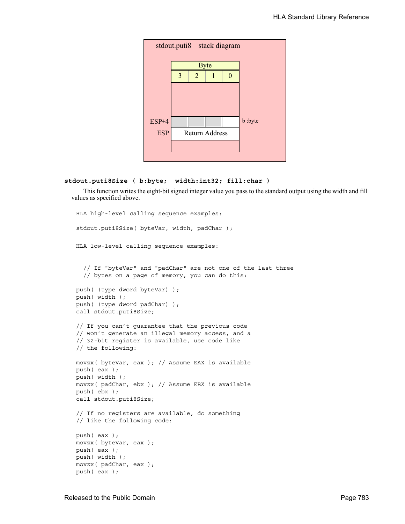

#### **stdout.puti8Size ( b:byte; width:int32; fill:char )**

This function writes the eight-bit signed integer value you pass to the standard output using the width and fill values as specified above.

```
HLA high-level calling sequence examples:
stdout.puti8Size( byteVar, width, padChar );
HLA low-level calling sequence examples:
  // If "byteVar" and "padChar" are not one of the last three
  // bytes on a page of memory, you can do this:
push( (type dword byteVar) );
push( width );
push( (type dword padChar) );
call stdout.puti8Size;
// If you can't guarantee that the previous code
// won't generate an illegal memory access, and a
// 32-bit register is available, use code like
// the following:
movzx( byteVar, eax ); // Assume EAX is available
push( eax );
push( width );
movzx( padChar, ebx ); // Assume EBX is available
push( ebx );
call stdout.puti8Size;
// If no registers are available, do something
// like the following code:
push( eax );
movzx( byteVar, eax );
push( eax );
push( width );
movzx( padChar, eax );
push( eax );
```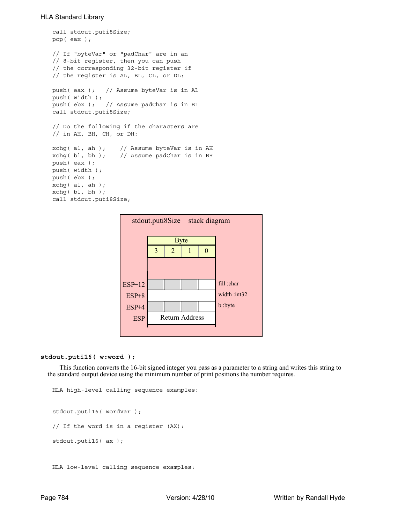```
call stdout.puti8Size;
pop( eax );
// If "byteVar" or "padChar" are in an
// 8-bit register, then you can push
// the corresponding 32-bit register if
// the register is AL, BL, CL, or DL:
push( eax ); // Assume byteVar is in AL
push( width );
push( ebx ); // Assume padChar is in BL
call stdout.puti8Size;
// Do the following if the characters are
// in AH, BH, CH, or DH:
xchg( al, ah ); // Assume byteVar is in AH
xchg( bl, bh ); // Assume padChar is in BH
push( eax ); 
push( width );
push( ebx );
xchg( al, ah );
xchg( bl, bh );
call stdout.puti8Size;
```


#### **stdout.puti16( w:word );**

This function converts the 16-bit signed integer you pass as a parameter to a string and writes this string to the standard output device using the minimum number of print positions the number requires.

```
HLA high-level calling sequence examples:
stdout.puti16( wordVar );
// If the word is in a register (AX):
stdout.puti16( ax );
```
HLA low-level calling sequence examples: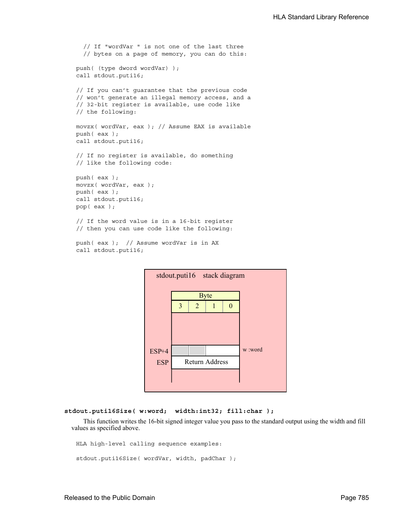```
// If "wordVar " is not one of the last three
  // bytes on a page of memory, you can do this:
push( (type dword wordVar) );
call stdout.puti16;
// If you can't guarantee that the previous code
// won't generate an illegal memory access, and a
// 32-bit register is available, use code like
// the following:
movzx( wordVar, eax ); // Assume EAX is available
push( eax );
call stdout.puti16;
// If no register is available, do something
// like the following code:
push( eax );
movzx( wordVar, eax );
push( eax );
call stdout.puti16;
pop( eax );
// If the word value is in a 16-bit register
// then you can use code like the following:
```

```
push( eax ); // Assume wordVar is in AX
call stdout.puti16;
```


```
stdout.puti16Size( w:word; width:int32; fill:char );
```
This function writes the 16-bit signed integer value you pass to the standard output using the width and fill values as specified above.

```
HLA high-level calling sequence examples:
stdout.puti16Size( wordVar, width, padChar );
```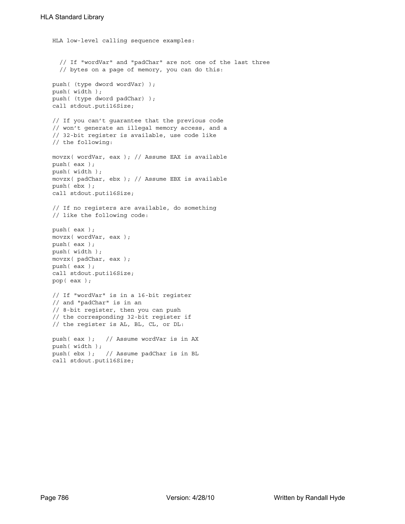```
HLA low-level calling sequence examples:
  // If "wordVar" and "padChar" are not one of the last three
  // bytes on a page of memory, you can do this:
push( (type dword wordVar) );
push( width );
push( (type dword padChar) );
call stdout.puti16Size;
// If you can't guarantee that the previous code
// won't generate an illegal memory access, and a
// 32-bit register is available, use code like
// the following:
movzx( wordVar, eax ); // Assume EAX is available
push( eax );
push( width );
movzx( padChar, ebx ); // Assume EBX is available
push( ebx );
call stdout.puti16Size;
// If no registers are available, do something
// like the following code:
push( eax );
movzx( wordVar, eax );
push( eax );
push( width );
movzx( padChar, eax );
push( eax );
call stdout.puti16Size;
pop( eax );
// If "wordVar" is in a 16-bit register
// and "padChar" is in an
// 8-bit register, then you can push
// the corresponding 32-bit register if
// the register is AL, BL, CL, or DL:
push( eax ); // Assume wordVar is in AX
push( width );
push( ebx ); // Assume padChar is in BL
call stdout.puti16Size;
```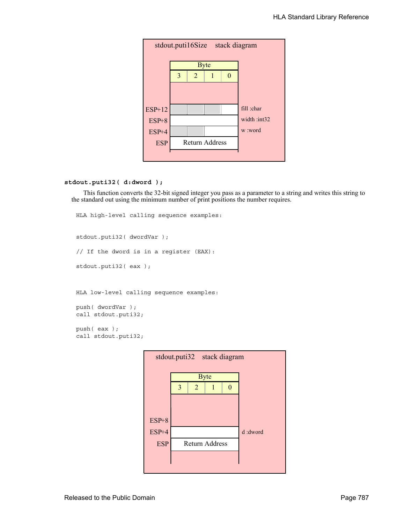

# **stdout.puti32( d:dword );**

This function converts the 32-bit signed integer you pass as a parameter to a string and writes this string to the standard out using the minimum number of print positions the number requires.

```
HLA high-level calling sequence examples:
stdout.puti32( dwordVar );
// If the dword is in a register (EAX):
stdout.puti32( eax );
HLA low-level calling sequence examples:
push( dwordVar );
call stdout.puti32;
push( eax );
call stdout.puti32;
```
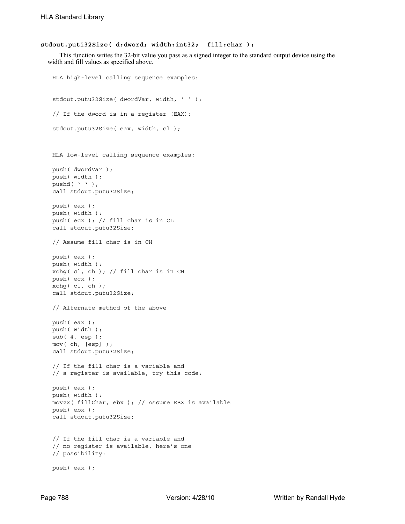#### **stdout.puti32Size( d:dword; width:int32; fill:char );**

This function writes the 32-bit value you pass as a signed integer to the standard output device using the width and fill values as specified above.

```
HLA high-level calling sequence examples:
stdout.putu32Size( dwordVar, width, ' ' );
// If the dword is in a register (EAX):
stdout.putu32Size( eax, width, cl );
HLA low-level calling sequence examples:
push( dwordVar );
push( width );
pushd( ' ' );
call stdout.putu32Size;
push( eax );
push( width );
push( ecx ); // fill char is in CL
call stdout.putu32Size;
// Assume fill char is in CH
push( eax );
push( width );
xchg( cl, ch ); // fill char is in CH
push( ecx ); 
xchg( cl, ch );
call stdout.putu32Size;
// Alternate method of the above
push( eax );
push( width );
sub(4, esp);mov( ch, [esp] );
call stdout.putu32Size;
// If the fill char is a variable and
// a register is available, try this code:
push( eax );
push( width );
movzx( fillChar, ebx ); // Assume EBX is available
push( ebx );
call stdout.putu32Size;
// If the fill char is a variable and
// no register is available, here's one
// possibility:
push( eax );
```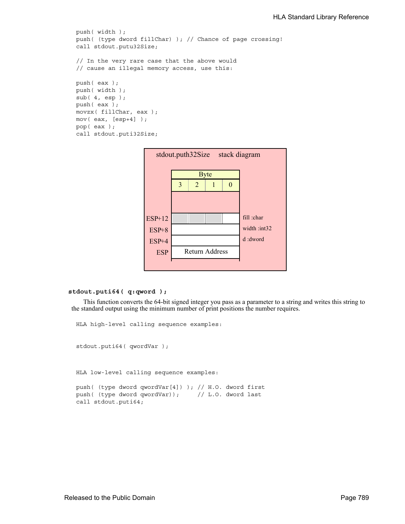```
push( width );
push( (type dword fillChar) ); // Chance of page crossing!
call stdout.putu32Size;
// In the very rare case that the above would
// cause an illegal memory access, use this:
push( eax );
push( width );
sub( 4, esp );
push( eax );
movzx( fillChar, eax );
mov( eax, [esp+4] );
pop( eax );
call stdout.puti32Size;
```


# **stdout.puti64( q:qword );**

This function converts the 64-bit signed integer you pass as a parameter to a string and writes this string to the standard output using the minimum number of print positions the number requires.

```
HLA high-level calling sequence examples:
stdout.puti64( qwordVar );
HLA low-level calling sequence examples:
push( (type dword qwordVar[4]) ); // H.O. dword first
push( (type dword qwordVar)); // L.O. dword last
```
call stdout.puti64;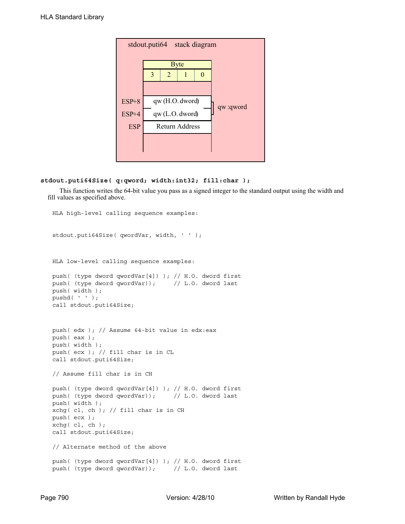

# **stdout.puti64Size( q:qword; width:int32; fill:char );**

This function writes the 64-bit value you pass as a signed integer to the standard output using the width and fill values as specified above.

```
HLA high-level calling sequence examples:
stdout.puti64Size( qwordVar, width, ' ' );
HLA low-level calling sequence examples:
push( (type dword qwordVar[4]) ); // H.O. dword first
push( (type dword qwordVar)); // L.O. dword last
push( width );
pushd( ' ' );
call stdout.puti64Size;
push( edx ); // Assume 64-bit value in edx:eax
push( eax );
push( width );
push( ecx ); // fill char is in CL
call stdout.puti64Size;
// Assume fill char is in CH
push( (type dword qwordVar[4]) ); // H.O. dword first
push( (type dword qwordVar)); // L.O. dword last
push( width );
xchg( cl, ch ); // fill char is in CH
push( ecx ); 
xchg( cl, ch );
call stdout.puti64Size;
// Alternate method of the above
push( (type dword qwordVar[4]) ); // H.O. dword first
push( (type dword qwordVar)); // L.O. dword last
```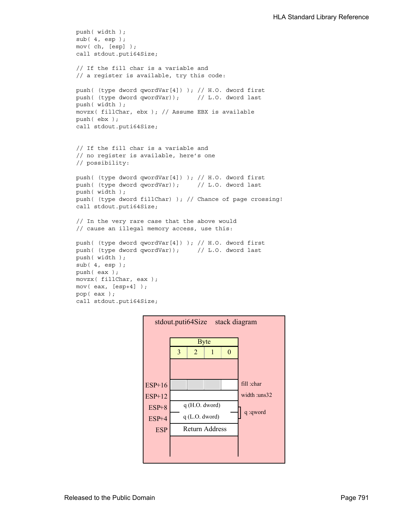```
push( width );
sub( 4, esp );
mov( ch, [esp] );
call stdout.puti64Size;
// If the fill char is a variable and
// a register is available, try this code:
push( (type dword qwordVar[4]) ); // H.O. dword first
push( (type dword qwordVar)); // L.O. dword last
push( width );
movzx( fillChar, ebx ); // Assume EBX is available
push( ebx );
call stdout.puti64Size;
// If the fill char is a variable and
// no register is available, here's one
// possibility:
push( (type dword qwordVar[4]) ); // H.O. dword first
push( (type dword qwordVar)); // L.O. dword last
push( width );
push( (type dword fillChar) ); // Chance of page crossing!
call stdout.puti64Size;
// In the very rare case that the above would
// cause an illegal memory access, use this:
push( (type dword qwordVar[4]) ); // H.O. dword first
push( (type dword qwordVar)); // L.O. dword last
push( width );
sub(4, esp);push( eax );
movzx( fillChar, eax );
mov( eax, [esp+4] );
pop( eax );
call stdout.puti64Size;
```
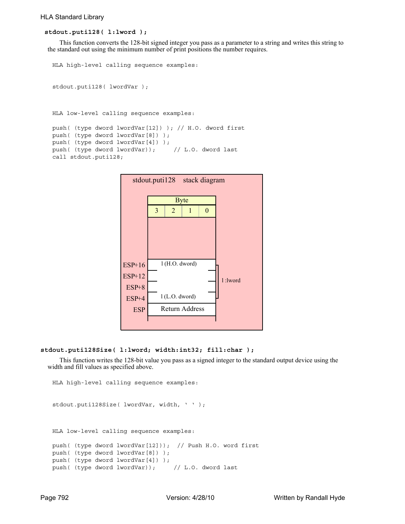# **stdout.puti128( l:lword );**

This function converts the 128-bit signed integer you pass as a parameter to a string and writes this string to the standard out using the minimum number of print positions the number requires.

```
HLA high-level calling sequence examples:
stdout.puti128( lwordVar );
HLA low-level calling sequence examples:
push( (type dword lwordVar[12]) ); // H.O. dword first
push( (type dword lwordVar[8]) ); 
push( (type dword lwordVar[4]) );
push( (type dword lwordVar)); // L.O. dword last
call stdout.puti128;
```


### **stdout.puti128Size( l:lword; width:int32; fill:char );**

This function writes the 128-bit value you pass as a signed integer to the standard output device using the width and fill values as specified above.

```
HLA high-level calling sequence examples:
stdout.puti128Size( lwordVar, width, ' ' );
HLA low-level calling sequence examples:
push( (type dword lwordVar[12])); // Push H.O. word first
push( (type dword lwordVar[8]) );
push( (type dword lwordVar[4]) );
push( (type dword lwordVar)); // L.O. dword last
```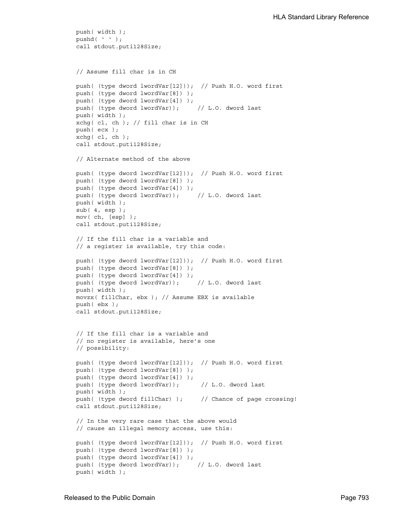```
push( width );
pushd( ' ' );
call stdout.puti128Size;
// Assume fill char is in CH
push( (type dword lwordVar[12])); // Push H.O. word first
push( (type dword lwordVar[8]) );
push( (type dword lwordVar[4]) );
push( (type dword lwordVar)); // L.O. dword last
push( width );
xchg( cl, ch ); // fill char is in CH
push( ecx ); 
xchg( cl, ch );
call stdout.puti128Size;
// Alternate method of the above
push( (type dword lwordVar[12])); // Push H.O. word first
push( (type dword lwordVar[8]) );
push( (type dword lwordVar[4]) );
push( (type dword lwordVar)); // L.O. dword last
push( width );
sub( 4, esp );
mov( ch, [esp] );
call stdout.puti128Size;
// If the fill char is a variable and
// a register is available, try this code:
push( (type dword lwordVar[12])); // Push H.O. word first
push( (type dword lwordVar[8]) );
push( (type dword lwordVar[4]) );
push( (type dword lwordVar)); // L.O. dword last
push( width );
movzx( fillChar, ebx ); // Assume EBX is available
push( ebx );
call stdout.puti128Size;
// If the fill char is a variable and
// no register is available, here's one
// possibility:
push( (type dword lwordVar[12])); // Push H.O. word first
push( (type dword lwordVar[8]) );
push( (type dword lwordVar[4]) );
push( (type dword lwordVar)); // L.O. dword last
push( width );
push( (type dword fillChar) ); // Chance of page crossing!
call stdout.puti128Size;
// In the very rare case that the above would
// cause an illegal memory access, use this:
push( (type dword lwordVar[12])); // Push H.O. word first
push( (type dword lwordVar[8]) );
push( (type dword lwordVar[4]) );
push( (type dword lwordVar)); // L.O. dword last
push( width );
```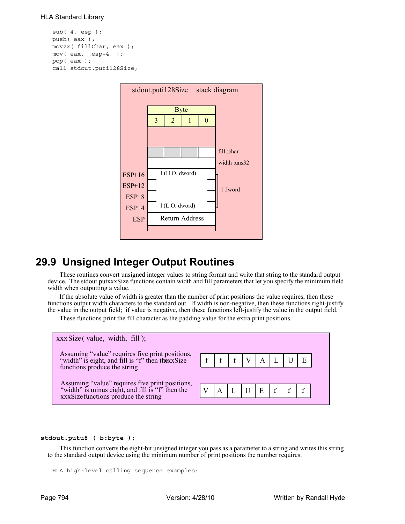```
sub( 4, esp );
push( eax );
movzx( fillChar, eax );
mov( eax, [esp+4] );
pop( eax );
call stdout.puti128Size;
```


# **29.9 Unsigned Integer Output Routines**

These routines convert unsigned integer values to string format and write that string to the standard output device. The stdout.putxxxSize functions contain width and fill parameters that let you specify the minimum field width when outputting a value.

If the absolute value of width is greater than the number of print positions the value requires, then these functions output width characters to the standard out. If width is non-negative, then these functions right-justify the value in the output field; if value is negative, then these functions left-justify the value in the output field.

These functions print the fill character as the padding value for the extra print positions.



#### **stdout.putu8 ( b:byte );**

This function converts the eight-bit unsigned integer you pass as a parameter to a string and writes this string to the standard output device using the minimum number of print positions the number requires.

```
HLA high-level calling sequence examples:
```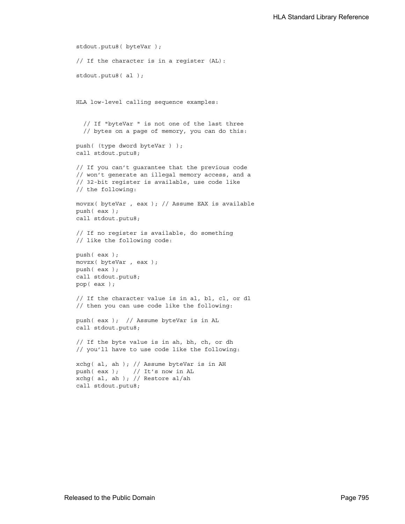```
stdout.putu8( byteVar );
// If the character is in a register (AL):
stdout.putu8( al );
HLA low-level calling sequence examples:
  // If "byteVar " is not one of the last three
  // bytes on a page of memory, you can do this:
push( (type dword byteVar ) );
call stdout.putu8;
// If you can't guarantee that the previous code
// won't generate an illegal memory access, and a
// 32-bit register is available, use code like
// the following:
movzx( byteVar , eax ); // Assume EAX is available
push( eax );
call stdout.putu8;
// If no register is available, do something
// like the following code:
push( eax );
movzx( byteVar , eax );
push( eax );
call stdout.putu8;
pop( eax );
// If the character value is in al, bl, cl, or dl
// then you can use code like the following:
push( eax ); // Assume byteVar is in AL
call stdout.putu8;
// If the byte value is in ah, bh, ch, or dh
// you'll have to use code like the following:
xchg( al, ah ); // Assume byteVar is in AH
push(eax ); // It's now in AL
xchg( al, ah ); // Restore al/ah
call stdout.putu8;
```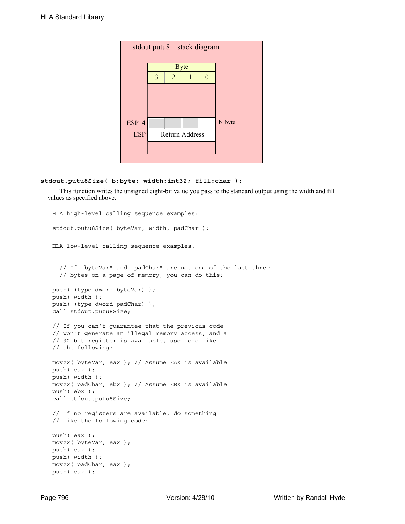| stdout.putu8 stack diagram |   |                |                |   |         |  |  |  |
|----------------------------|---|----------------|----------------|---|---------|--|--|--|
|                            |   |                | <b>Byte</b>    |   |         |  |  |  |
|                            | 3 | $\overline{2}$ |                | 0 |         |  |  |  |
|                            |   |                |                |   |         |  |  |  |
|                            |   |                |                |   |         |  |  |  |
|                            |   |                |                |   |         |  |  |  |
| $ESP+4$                    |   |                |                |   | b :byte |  |  |  |
| <b>ESP</b>                 |   |                | Return Address |   |         |  |  |  |
|                            |   |                |                |   |         |  |  |  |
|                            |   |                |                |   |         |  |  |  |

# **stdout.putu8Size( b:byte; width:int32; fill:char );**

This function writes the unsigned eight-bit value you pass to the standard output using the width and fill values as specified above.

```
HLA high-level calling sequence examples:
stdout.putu8Size( byteVar, width, padChar );
HLA low-level calling sequence examples:
  // If "byteVar" and "padChar" are not one of the last three
  // bytes on a page of memory, you can do this:
push( (type dword byteVar) );
push( width );
push( (type dword padChar) );
call stdout.putu8Size;
// If you can't guarantee that the previous code
// won't generate an illegal memory access, and a
// 32-bit register is available, use code like
// the following:
movzx( byteVar, eax ); // Assume EAX is available
push( eax );
push( width );
movzx( padChar, ebx ); // Assume EBX is available
push( ebx );
call stdout.putu8Size;
// If no registers are available, do something
// like the following code:
push( eax );
movzx( byteVar, eax );
push( eax );
push( width );
movzx( padChar, eax );
push( eax );
```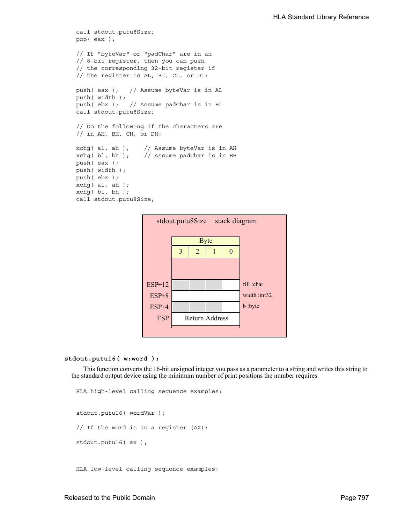```
call stdout.putu8Size;
pop( eax );
// If "byteVar" or "padChar" are in an
// 8-bit register, then you can push
// the corresponding 32-bit register if
// the register is AL, BL, CL, or DL:
push( eax ); // Assume byteVar is in AL
push( width );
push( ebx ); // Assume padChar is in BL
call stdout.putu8Size;
// Do the following if the characters are
// in AH, BH, CH, or DH:
xchg( al, ah ); // Assume byteVar is in AH
xchg( bl, bh ); // Assume padChar is in BH
push( eax ); 
push( width );
push( ebx );
xchg( al, ah );
xchg( bl, bh );
call stdout.putu8Size;
```


#### **stdout.putu16( w:word );**

This function converts the 16-bit unsigned integer you pass as a parameter to a string and writes this string to the standard output device using the minimum number of print positions the number requires.

```
HLA high-level calling sequence examples:
stdout.putu16( wordVar );
// If the word is in a register (AX):
stdout.putu16( ax );
```
HLA low-level calling sequence examples: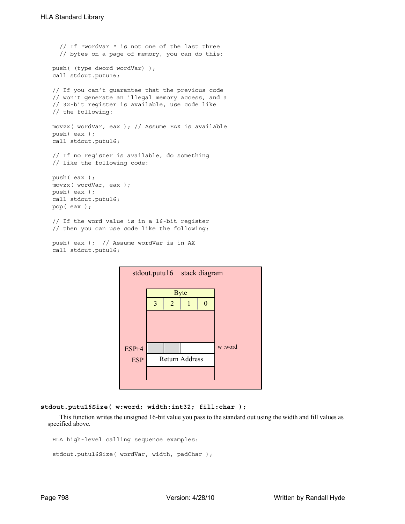```
// If "wordVar " is not one of the last three
  // bytes on a page of memory, you can do this:
push( (type dword wordVar) );
call stdout.putu16;
// If you can't guarantee that the previous code
// won't generate an illegal memory access, and a
// 32-bit register is available, use code like
// the following:
movzx( wordVar, eax ); // Assume EAX is available
push( eax );
call stdout.putu16;
// If no register is available, do something
// like the following code:
push( eax );
movzx( wordVar, eax );
push( eax );
call stdout.putu16;
pop( eax );
// If the word value is in a 16-bit register
// then you can use code like the following:
```

```
push( eax ); // Assume wordVar is in AX
call stdout.putu16;
```


```
stdout.putu16Size( w:word; width:int32; fill:char );
```
This function writes the unsigned 16-bit value you pass to the standard out using the width and fill values as specified above.

```
HLA high-level calling sequence examples:
```

```
stdout.putu16Size( wordVar, width, padChar );
```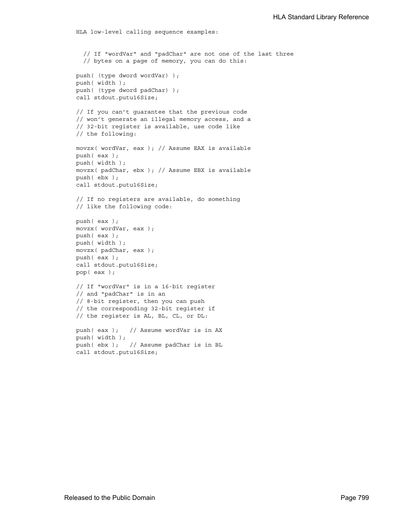```
HLA low-level calling sequence examples:
  // If "wordVar" and "padChar" are not one of the last three
  // bytes on a page of memory, you can do this:
push( (type dword wordVar) );
push( width );
push( (type dword padChar) );
call stdout.putu16Size;
// If you can't guarantee that the previous code
// won't generate an illegal memory access, and a
// 32-bit register is available, use code like
// the following:
movzx( wordVar, eax ); // Assume EAX is available
push( eax );
push( width );
movzx( padChar, ebx ); // Assume EBX is available
push( ebx );
call stdout.putu16Size;
// If no registers are available, do something
// like the following code:
push( eax );
movzx( wordVar, eax );
push( eax );
push( width );
movzx( padChar, eax );
push( eax );
call stdout.putu16Size;
pop( eax );
// If "wordVar" is in a 16-bit register
// and "padChar" is in an
// 8-bit register, then you can push
// the corresponding 32-bit register if
// the register is AL, BL, CL, or DL:
push( eax ); // Assume wordVar is in AX
push( width );
push( ebx ); // Assume padChar is in BL
call stdout.putu16Size;
```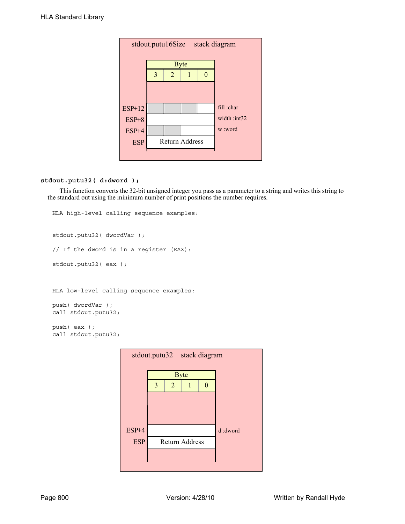|            | stdout.putu16Size | stack diagram  |  |             |
|------------|-------------------|----------------|--|-------------|
|            |                   | <b>Byte</b>    |  |             |
|            | 3                 | $\overline{2}$ |  |             |
|            |                   |                |  |             |
|            |                   |                |  |             |
| ESP+12     |                   |                |  | fill :char  |
| $ESP+8$    |                   |                |  | width:int32 |
| ESP+4      |                   |                |  | w :word     |
| <b>ESP</b> |                   | Return Address |  |             |
|            |                   |                |  |             |

# **stdout.putu32( d:dword );**

This function converts the 32-bit unsigned integer you pass as a parameter to a string and writes this string to the standard out using the minimum number of print positions the number requires.

```
HLA high-level calling sequence examples:
stdout.putu32( dwordVar );
// If the dword is in a register (EAX):
stdout.putu32( eax );
HLA low-level calling sequence examples:
push( dwordVar );
call stdout.putu32;
push( eax );
call stdout.putu32;
```
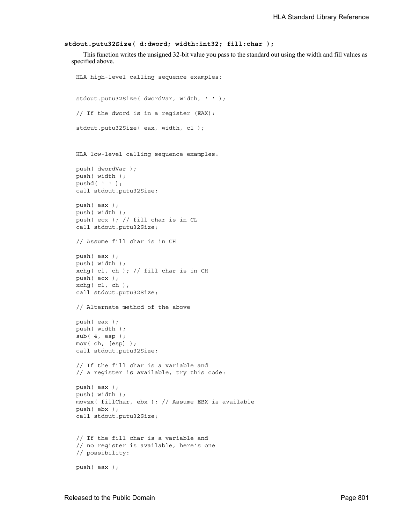```
stdout.putu32Size( d:dword; width:int32; fill:char );
```
This function writes the unsigned 32-bit value you pass to the standard out using the width and fill values as specified above.

```
HLA high-level calling sequence examples:
stdout.putu32Size( dwordVar, width, ' ' );
// If the dword is in a register (EAX):
stdout.putu32Size( eax, width, cl );
HLA low-level calling sequence examples:
push( dwordVar );
push( width );
pushd(' ' );
call stdout.putu32Size;
push( eax );
push( width );
push( ecx ); // fill char is in CL
call stdout.putu32Size;
// Assume fill char is in CH
push( eax );
push( width );
xchg( cl, ch ); // fill char is in CH
push( ecx ); 
xchg( cl, ch );
call stdout.putu32Size;
// Alternate method of the above
push( eax );
push( width );
sub(4, esp);mov( ch, [esp] );
call stdout.putu32Size;
// If the fill char is a variable and
// a register is available, try this code:
push( eax );
push( width );
movzx( fillChar, ebx ); // Assume EBX is available
push( ebx );
call stdout.putu32Size;
// If the fill char is a variable and
// no register is available, here's one
// possibility:
push( eax );
```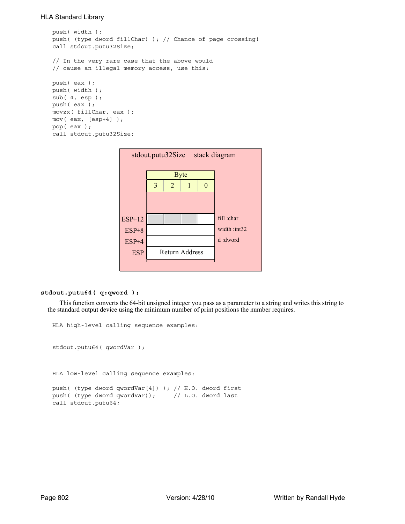```
push( width );
push( (type dword fillChar) ); // Chance of page crossing!
call stdout.putu32Size;
// In the very rare case that the above would
// cause an illegal memory access, use this:
push( eax );
push( width );
sub( 4, esp );
push( eax );
movzx( fillChar, eax );
mov( eax, [esp+4] );
pop( eax );
call stdout.putu32Size;
```


#### **stdout.putu64( q:qword );**

This function converts the 64-bit unsigned integer you pass as a parameter to a string and writes this string to the standard output device using the minimum number of print positions the number requires.

```
HLA high-level calling sequence examples:
stdout.putu64( qwordVar );
HLA low-level calling sequence examples:
push( (type dword qwordVar[4]) ); // H.O. dword first
push( (type dword qwordVar)); // L.O. dword last
call stdout.putu64;
```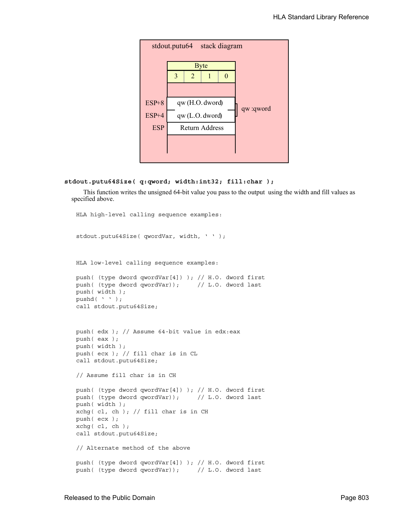

#### **stdout.putu64Size( q:qword; width:int32; fill:char );**

This function writes the unsigned 64-bit value you pass to the output using the width and fill values as specified above.

```
HLA high-level calling sequence examples:
stdout.putu64Size( qwordVar, width, ' ' );
HLA low-level calling sequence examples:
push( (type dword qwordVar[4]) ); // H.O. dword first
push( (type dword qwordVar)); // L.O. dword last
push( width );
pushd(' ' );
call stdout.putu64Size;
push( edx ); // Assume 64-bit value in edx:eax
push( eax );
push( width );
push( ecx ); // fill char is in CL
call stdout.putu64Size;
// Assume fill char is in CH
push( (type dword qwordVar[4]) ); // H.O. dword first
push( (type dword qwordVar)); // L.O. dword last
push( width );
xchg( cl, ch ); // fill char is in CH
push( ecx ); 
xchg( cl, ch );
call stdout.putu64Size;
// Alternate method of the above
push( (type dword qwordVar[4]) ); // H.O. dword first
push( (type dword qwordVar)); // L.O. dword last
```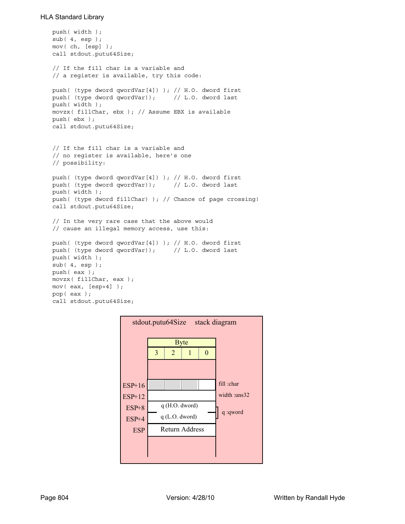```
push( width );
sub( 4, esp );
mov( ch, [esp] );
call stdout.putu64Size;
// If the fill char is a variable and
// a register is available, try this code:
push( (type dword qwordVar[4]) ); // H.O. dword first
push( (type dword qwordVar)); // L.O. dword last
push( width );
movzx( fillChar, ebx ); // Assume EBX is available
push( ebx );
call stdout.putu64Size;
// If the fill char is a variable and
// no register is available, here's one
// possibility:
push( (type dword qwordVar[4]) ); // H.O. dword first
push( (type dword qwordVar)); // L.O. dword last
push( width );
push( (type dword fillChar) ); // Chance of page crossing!
call stdout.putu64Size;
// In the very rare case that the above would
// cause an illegal memory access, use this:
push( (type dword qwordVar[4]) ); // H.O. dword first
push( (type dword qwordVar)); // L.O. dword last
push( width );
sub(4, esp);push( eax );
movzx( fillChar, eax );
mov( eax, [esp+4] );
pop( eax );
call stdout.putu64Size;
```
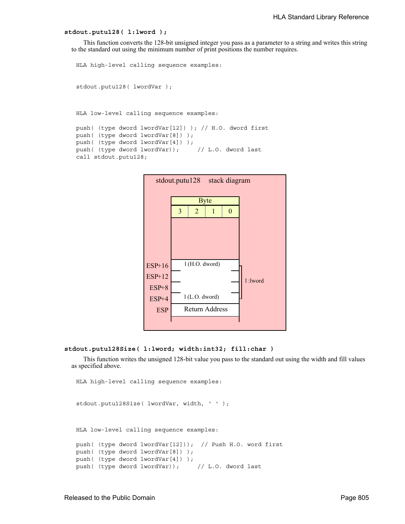#### **stdout.putu128( l:lword );**

This function converts the 128-bit unsigned integer you pass as a parameter to a string and writes this string to the standard out using the minimum number of print positions the number requires.

```
HLA high-level calling sequence examples:
stdout.putu128( lwordVar );
HLA low-level calling sequence examples:
push( (type dword lwordVar[12]) ); // H.O. dword first
```

```
push( (type dword lwordVar[8]) ); 
push( (type dword lwordVar[4]) );
push( (type dword lwordVar)); // L.O. dword last
call stdout.putu128;
```


#### **stdout.putu128Size( l:lword; width:int32; fill:char )**

This function writes the unsigned 128-bit value you pass to the standard out using the width and fill values as specified above.

```
HLA high-level calling sequence examples:
stdout.putu128Size( lwordVar, width, ' ' );
HLA low-level calling sequence examples:
push( (type dword lwordVar[12])); // Push H.O. word first
push( (type dword lwordVar[8]) );
push( (type dword lwordVar[4]) );
push( (type dword lwordVar)); // L.O. dword last
```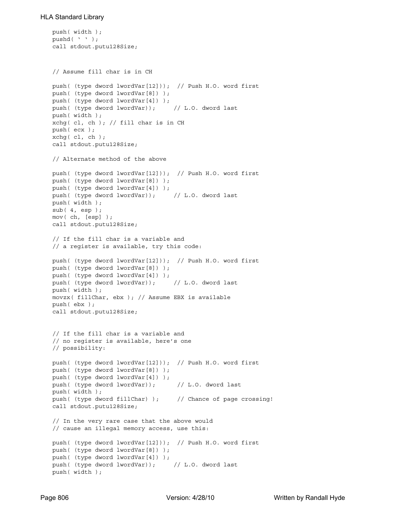```
push( width );
pushd( ' ' );
call stdout.putu128Size;
// Assume fill char is in CH
push( (type dword lwordVar[12])); // Push H.O. word first
push( (type dword lwordVar[8]) );
push( (type dword lwordVar[4]) );
push( (type dword lwordVar)); // L.O. dword last
push( width );
xchg( cl, ch ); // fill char is in CH
push( ecx ); 
xchg( cl, ch );
call stdout.putu128Size;
// Alternate method of the above
push( (type dword lwordVar[12])); // Push H.O. word first
push( (type dword lwordVar[8]) );
push( (type dword lwordVar[4]) );
push( (type dword lwordVar)); // L.O. dword last
push( width );
sub( 4, esp );
mov( ch, [esp] );
call stdout.putu128Size;
// If the fill char is a variable and
// a register is available, try this code:
push( (type dword lwordVar[12])); // Push H.O. word first
push( (type dword lwordVar[8]) );
push( (type dword lwordVar[4]) );
push( (type dword lwordVar)); // L.O. dword last
push( width );
movzx( fillChar, ebx ); // Assume EBX is available
push( ebx );
call stdout.putu128Size;
// If the fill char is a variable and
// no register is available, here's one
// possibility:
push( (type dword lwordVar[12])); // Push H.O. word first
push( (type dword lwordVar[8]) );
push( (type dword lwordVar[4]) );
push( (type dword lwordVar)); // L.O. dword last
push( width );
push( (type dword fillChar) ); // Chance of page crossing!
call stdout.putu128Size;
// In the very rare case that the above would
// cause an illegal memory access, use this:
push( (type dword lwordVar[12])); // Push H.O. word first
push( (type dword lwordVar[8]) );
push( (type dword lwordVar[4]) );
push( (type dword lwordVar)); // L.O. dword last
push( width );
```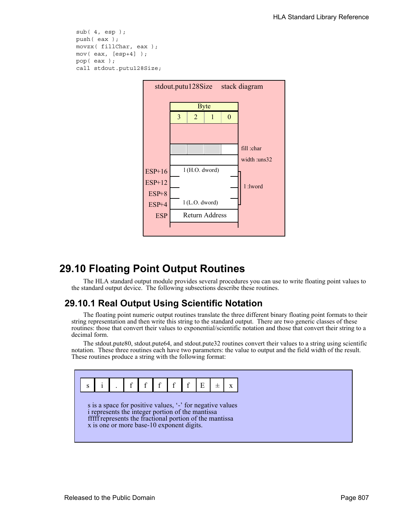```
sub( 4, esp );
push( eax );
movzx( fillChar, eax );
mov( eax, [esp+4] );
pop( eax );
call stdout.putu128Size;
```


# **29.10 Floating Point Output Routines**

The HLA standard output module provides several procedures you can use to write floating point values to the standard output device. The following subsections describe these routines.

# **29.10.1 Real Output Using Scientific Notation**

The floating point numeric output routines translate the three different binary floating point formats to their string representation and then write this string to the standard output. There are two generic classes of these routines: those that convert their values to exponential/scientific notation and those that convert their string to a decimal form.

The stdout.pute80, stdout.pute64, and stdout.pute32 routines convert their values to a string using scientific notation. These three routines each have two parameters: the value to output and the field width of the result. These routines produce a string with the following format:

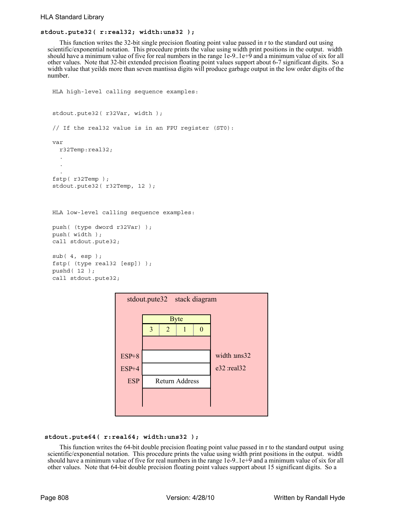# **stdout.pute32( r:real32; width:uns32 );**

This function writes the 32-bit single precision floating point value passed in r to the standard out using scientific/exponential notation. This procedure prints the value using width print positions in the output. width should have a minimum value of five for real numbers in the range 1e-9..1e+9 and a minimum value of six for all other values. Note that 32-bit extended precision floating point values support about 6-7 significant digits. So a width value that yeilds more than seven mantissa digits will produce garbage output in the low order digits of the number.

```
HLA high-level calling sequence examples:
stdout.pute32( r32Var, width );
// If the real32 value is in an FPU register (ST0):
var
  r32Temp:real32;
  .
  .
  .
fstp( r32Temp );
stdout.pute32( r32Temp, 12 );
HLA low-level calling sequence examples:
push( (type dword r32Var) );
push( width );
call stdout.pute32;
sub( 4, esp );
fstp( (type real32 [esp]) );
pushd( 12 );
call stdout.pute32;
```


#### **stdout.pute64( r:real64; width:uns32 );**

This function writes the 64-bit double precision floating point value passed in r to the standard output using scientific/exponential notation. This procedure prints the value using width print positions in the output. width should have a minimum value of five for real numbers in the range 1e-9..1e+9 and a minimum value of six for all other values. Note that 64-bit double precision floating point values support about 15 significant digits. So a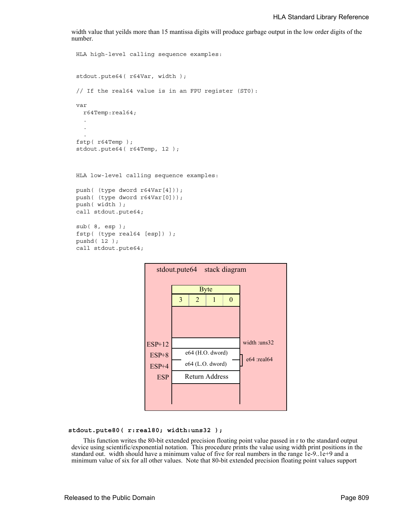width value that yeilds more than 15 mantissa digits will produce garbage output in the low order digits of the number.

```
HLA high-level calling sequence examples:
stdout.pute64( r64Var, width );
// If the real64 value is in an FPU register (ST0):
var
  r64Temp:real64;
  .
  .
  .
fstp( r64Temp );
stdout.pute64( r64Temp, 12 );
HLA low-level calling sequence examples:
push( (type dword r64Var[4]));
push( (type dword r64Var[0]));
push( width );
call stdout.pute64;
sub( 8, esp );
fstp( (type real64 [esp]) );
pushd( 12 );
call stdout.pute64;
```


# **stdout.pute80( r:real80; width:uns32 );**

This function writes the 80-bit extended precision floating point value passed in r to the standard output device using scientific/exponential notation. This procedure prints the value using width print positions in the standard out. width should have a minimum value of five for real numbers in the range 1e-9..1e+9 and a minimum value of six for all other values. Note that 80-bit extended precision floating point values support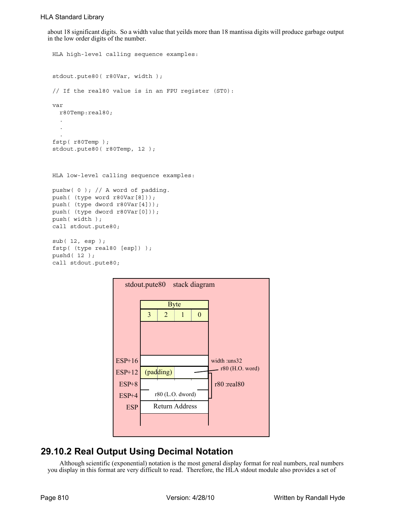about 18 significant digits. So a width value that yeilds more than 18 mantissa digits will produce garbage output in the low order digits of the number.

```
HLA high-level calling sequence examples:
stdout.pute80( r80Var, width );
// If the real80 value is in an FPU register (ST0):
var
  r80Temp:real80;
  .
  .
  .
fstp( r80Temp );
stdout.pute80( r80Temp, 12 );
HLA low-level calling sequence examples:
pushw(0); // A word of padding.
push( (type word r80Var[8]));
push( (type dword r80Var[4]));
push( (type dword r80Var[0]));
push( width );
call stdout.pute80;
sub( 12, esp );
fstp( (type real80 [esp]) );
pushd( 12 );
call stdout.pute80;
```


# **29.10.2 Real Output Using Decimal Notation**

Although scientific (exponential) notation is the most general display format for real numbers, real numbers you display in this format are very difficult to read. Therefore, the HLA stdout module also provides a set of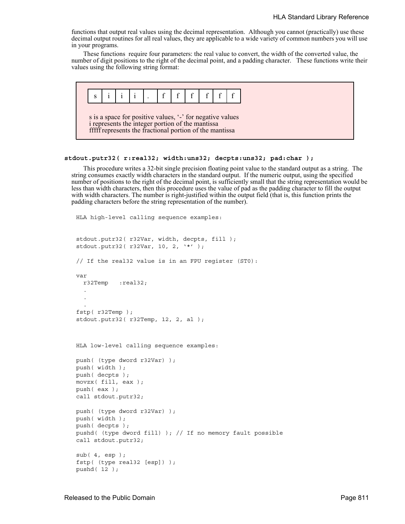functions that output real values using the decimal representation. Although you cannot (practically) use these decimal output routines for all real values, they are applicable to a wide variety of common numbers you will use in your programs.

These functions require four parameters: the real value to convert, the width of the converted value, the number of digit positions to the right of the decimal point, and a padding character. These functions write their values using the following string format:



#### **stdout.putr32( r:real32; width:uns32; decpts:uns32; pad:char );**

This procedure writes a 32-bit single precision floating point value to the standard output as a string. The string consumes exactly width characters in the standard output. If the numeric output, using the specified number of positions to the right of the decimal point, is sufficiently small that the string representation would be less than width characters, then this procedure uses the value of pad as the padding character to fill the output with width characters. The number is right-justified within the output field (that is, this function prints the padding characters before the string representation of the number).

```
HLA high-level calling sequence examples:
stdout.putr32( r32Var, width, decpts, fill );
stdout.putr32( r32Var, 10, 2, '*' );
// If the real32 value is in an FPU register (ST0):
var
  r32Temp :real32;
  .
  .
  .
fstp( r32Temp );
stdout.putr32( r32Temp, 12, 2, al );
HLA low-level calling sequence examples:
push( (type dword r32Var) );
push( width );
push( decpts );
movzx( fill, eax );
push( eax );
call stdout.putr32;
push( (type dword r32Var) );
push( width );
push( decpts );
pushd( (type dword fill) ); // If no memory fault possible
call stdout.putr32;
sub( 4, esp );
fstp( (type real32 [esp]) );
pushd( 12 );
```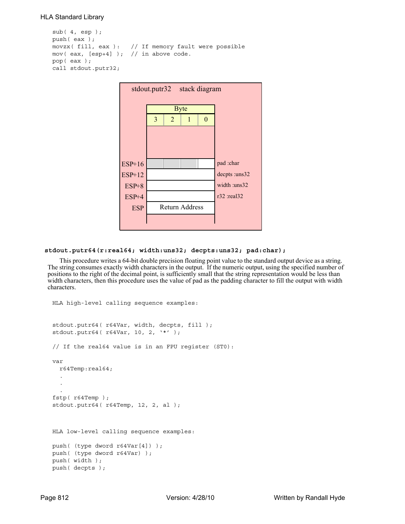```
sub( 4, esp );
push( eax );
movzx( fill, eax ): // If memory fault were possible
mov( eax, [esp+4] ); // in above code.
pop( eax );
call stdout.putr32;
```


# **stdout.putr64(r:real64; width:uns32; decpts:uns32; pad:char);**

This procedure writes a 64-bit double precision floating point value to the standard output device as a string. The string consumes exactly width characters in the output. If the numeric output, using the specified number of positions to the right of the decimal point, is sufficiently small that the string representation would be less than width characters, then this procedure uses the value of pad as the padding character to fill the output with width characters.

```
HLA high-level calling sequence examples:
stdout.putr64( r64Var, width, decpts, fill );
stdout.putr64( r64Var, 10, 2, '*' );
// If the real64 value is in an FPU register (ST0):
var
 r64Temp:real64;
  .
  .
  .
fstp( r64Temp );
stdout.putr64( r64Temp, 12, 2, al );
HLA low-level calling sequence examples:
push( (type dword r64Var[4]) );
push( (type dword r64Var) );
push( width );
push( decpts );
```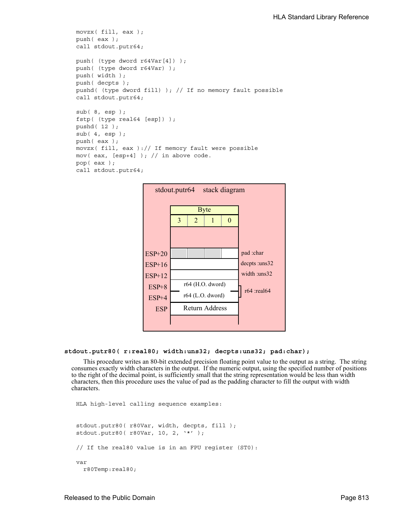```
movzx( fill, eax );
push( eax );
call stdout.putr64;
push( (type dword r64Var[4]) );
push( (type dword r64Var) );
push( width );
push( decpts );
pushd( (type dword fill) ); // If no memory fault possible
call stdout.putr64;
sub( 8, esp );
fstp( (type real64 [esp]) );
pushd( 12 );
sub( 4, esp );
push( eax );
movzx( fill, eax ):// If memory fault were possible
mov( eax, [esp+4] ); // in above code.
pop( eax );
call stdout.putr64;
```


#### **stdout.putr80( r:real80; width:uns32; decpts:uns32; pad:char);**

This procedure writes an 80-bit extended precision floating point value to the output as a string. The string consumes exactly width characters in the output. If the numeric output, using the specified number of positions to the right of the decimal point, is sufficiently small that the string representation would be less than width characters, then this procedure uses the value of pad as the padding character to fill the output with width characters.

```
HLA high-level calling sequence examples:
stdout.putr80( r80Var, width, decpts, fill );
stdout.putr80( r80Var, 10, 2, '*' );
// If the real80 value is in an FPU register (ST0):
var
  r80Temp:real80;
```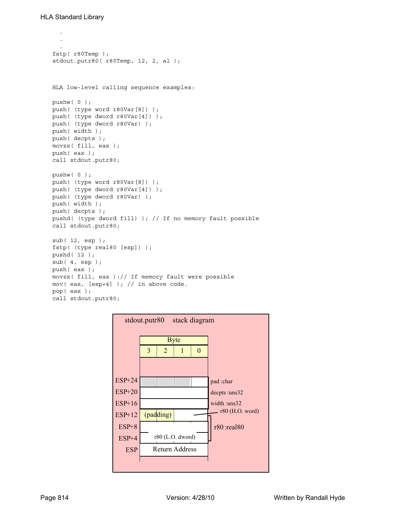```
.
  .
  .
fstp( r80Temp );
stdout.putr80( r80Temp, 12, 2, al );
HLA low-level calling sequence examples:
pushw( 0 );
push( (type word r80Var[8]) );
push( (type dword r80Var[4]) );
push( (type dword r80Var) );
push( width );
push( decpts );
movzx( fill, eax );
push( eax );
call stdout.putr80;
pushw( 0 );
push( (type word r80Var[8]) );
push( (type dword r80Var[4]) );
push( (type dword r80Var) );
push( width );
push( decpts );
pushd( (type dword fill) ); // If no memory fault possible
call stdout.putr80;
sub( 12, esp );
fstp( (type real80 [esp]) );
pushd( 12 );
sub( 4, esp );
push( eax );
movzx( fill, eax ):// If memory fault were possible
mov( eax, [esp+4] ); // in above code.
pop( eax );
call stdout.putr80;
```